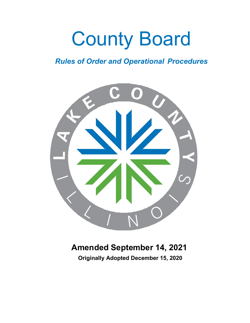# County Board

# *Rules of Order and Operational Procedures*



# **Amended September 14, 2021**

**Originally Adopted December 15, 2020**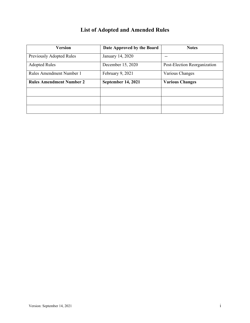# **List of Adopted and Amended Rules**

<span id="page-1-0"></span>

| <b>Version</b>                  | Date Approved by the Board | <b>Notes</b>                 |  |
|---------------------------------|----------------------------|------------------------------|--|
| Previously Adopted Rules        | January 14, 2020           |                              |  |
| <b>Adopted Rules</b>            | December 15, 2020          | Post-Election Reorganization |  |
| Rules Amendment Number 1        | February 9, 2021           | Various Changes              |  |
| <b>Rules Amendment Number 2</b> | <b>September 14, 2021</b>  | <b>Various Changes</b>       |  |
|                                 |                            |                              |  |
|                                 |                            |                              |  |
|                                 |                            |                              |  |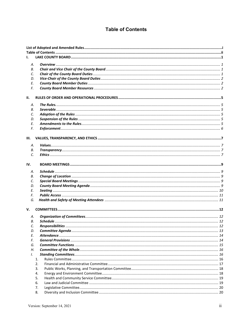## **Table of Contents**

<span id="page-2-0"></span>

| L        |          |  |
|----------|----------|--|
| А.       |          |  |
| В.       |          |  |
| C.       |          |  |
| D.       |          |  |
| E.       |          |  |
| F.       |          |  |
|          |          |  |
| н.       |          |  |
|          |          |  |
| А.       |          |  |
| В.       |          |  |
| C.       |          |  |
| D.       |          |  |
| Ε.<br>F. |          |  |
|          |          |  |
| Ш.       |          |  |
|          |          |  |
| А.       |          |  |
| В.       |          |  |
| C.       |          |  |
| IV.      |          |  |
|          |          |  |
| А.       |          |  |
| В.       |          |  |
| C.       |          |  |
| D.       |          |  |
| Ε.       |          |  |
| F.<br>G. |          |  |
|          |          |  |
| v.       |          |  |
|          |          |  |
| А.       |          |  |
| В.       |          |  |
| C.       |          |  |
| D.       |          |  |
| Е.       |          |  |
| F.       |          |  |
| G.       |          |  |
| Н.       |          |  |
| Ι.       |          |  |
|          | 1.<br>2. |  |
|          | 3.       |  |
|          | 4.       |  |
|          | 5.       |  |
|          | 6.       |  |
|          | 7.       |  |
|          | 8.       |  |
|          |          |  |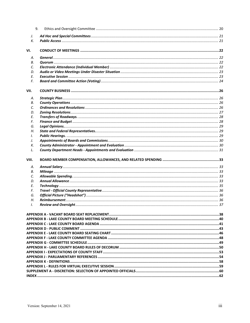|               | 9. |  |
|---------------|----|--|
| J.            |    |  |
| К.            |    |  |
| VI.           |    |  |
| А.            |    |  |
| В.            |    |  |
| C.            |    |  |
| D.            |    |  |
| Ε.            |    |  |
| F.            |    |  |
| VII.          |    |  |
| А.            |    |  |
| В.            |    |  |
| C.            |    |  |
| D.            |    |  |
| Ε.            |    |  |
| F.            |    |  |
| G.            |    |  |
| Н.            |    |  |
| Ι.            |    |  |
| J.            |    |  |
| К.            |    |  |
| L.            |    |  |
| VIII.         |    |  |
| А.            |    |  |
| В.            |    |  |
| C.            |    |  |
| D.            |    |  |
| Е.            |    |  |
| F.            |    |  |
| G.            |    |  |
| Н.            |    |  |
| $\mathcal{L}$ |    |  |
|               |    |  |
|               |    |  |
|               |    |  |
|               |    |  |
|               |    |  |
|               |    |  |
|               |    |  |
|               |    |  |
|               |    |  |
|               |    |  |
|               |    |  |
|               |    |  |
|               |    |  |
|               |    |  |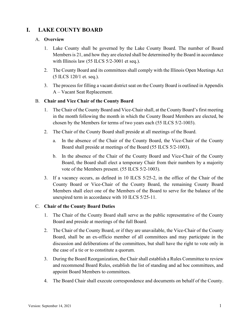# <span id="page-4-0"></span>**I. LAKE COUNTY BOARD**

#### <span id="page-4-1"></span>A. **Overview**

- 1. Lake County shall be governed by the Lake County Board. The number of Board Membersis 21, and how they are elected shall be determined by the Board in accordance with Illinois law (55 ILCS 5/2-3001 et seq.).
- 2. The County Board and its committees shall comply with the Illinois Open Meetings Act (5 ILCS 120/1 et. seq.).
- 3. The process for filling a vacant district seat on the County Board is outlined in Appendix A – Vacant Seat Replacement.

#### <span id="page-4-2"></span>B. **Chair and Vice Chair of the County Board**

- 1. The Chair of the County Board and Vice-Chairshall, at the County Board's first meeting in the month following the month in which the County Board Members are elected, be chosen by the Members for terms of two years each (55 ILCS 5/2-1003).
- 2. The Chair of the County Board shall preside at all meetings of the Board.
	- a. In the absence of the Chair of the County Board, the Vice-Chair of the County Board shall preside at meetings of the Board (55 ILCS 5/2-1003).
	- b. In the absence of the Chair of the County Board and Vice-Chair of the County Board, the Board shall elect a temporary Chair from their numbers by a majority vote of the Members present. (55 ILCS 5/2-1003).
- 3. If a vacancy occurs, as defined in 10 ILCS 5/25-2, in the office of the Chair of the County Board or Vice-Chair of the County Board, the remaining County Board Members shall elect one of the Members of the Board to serve for the balance of the unexpired term in accordance with 10 ILCS 5/25-11.

#### <span id="page-4-3"></span>C. **Chair of the County Board Duties**

- 1. The Chair of the County Board shall serve as the public representative of the County Board and preside at meetings of the full Board.
- 2. The Chair of the County Board, or if they are unavailable, the Vice-Chair of the County Board, shall be an ex-officio member of all committees and may participate in the discussion and deliberations of the committees, but shall have the right to vote only in the case of a tie or to constitute a quorum.
- 3. During the Board Reorganization, the Chair shall establish a Rules Committee to review and recommend Board Rules, establish the list of standing and ad hoc committees, and appoint Board Members to committees.
- 4. The Board Chair shall execute correspondence and documents on behalf of the County.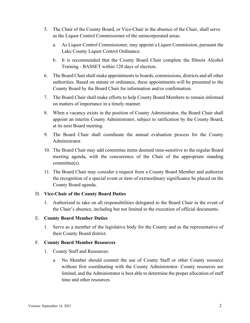- 5. The Chair of the County Board, or Vice-Chair in the absence of the Chair, shall serve as the Liquor Control Commissioner of the unincorporated areas.
	- a. As Liquor Control Commissioner, may appoint a Liquor Commission, pursuant the Lake County Liquor Control Ordinance.
	- b. It is recommended that the County Board Chair complete the Illinois Alcohol Training - BASSET within 120 days of election.
- 6. The Board Chair shall make appointments to boards, commissions, districts and all other authorities. Based on statute or ordinance, these appointments will be presented to the County Board by the Board Chair for information and/or confirmation.
- 7. The Board Chair shall make efforts to help County Board Members to remain informed on matters of importance in a timely manner.
- 8. When a vacancy exists in the position of County Administrator, the Board Chair shall appoint an interim County Administrator, subject to ratification by the County Board, at its next Board meeting.
- 9. The Board Chair shall coordinate the annual evaluation process for the County Administrator.
- 10. The Board Chair may add committee items deemed time-sensitive to the regular Board meeting agenda, with the concurrence of the Chair of the appropriate standing committee(s).
- 11. The Board Chair may consider a request from a County Board Member and authorize the recognition of a special event or item of extraordinary significance be placed on the County Board agenda.

#### <span id="page-5-0"></span>D. **Vice-Chair of the County Board Duties**

1. Authorized to take on all responsibilities delegated to the Board Chair in the event of the Chair's absence, including but not limited to the execution of official documents.

#### <span id="page-5-1"></span>E. **County Board Member Duties**

1. Serve as a member of the legislative body for the County and as the representative of their County Board district.

#### <span id="page-5-2"></span>F. **County Board Member Resources**

- 1. County Staff and Resources:
	- a. No Member should commit the use of County Staff or other County resource without first coordinating with the County Administrator. County resources are limited, and the Administrator is best able to determine the proper allocation of staff time and other resources.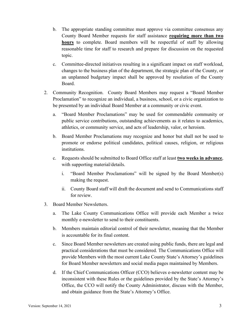- b. The appropriate standing committee must approve via committee consensus any County Board Member requests for staff assistance **requiring more than two hours** to complete. Board members will be respectful of staff by allowing reasonable time for staff to research and prepare for discussion on the requested topic.
- c. Committee-directed initiatives resulting in a significant impact on staff workload, changes to the business plan of the department, the strategic plan of the County, or an unplanned budgetary impact shall be approved by resolution of the County Board.
- 2. Community Recognition. County Board Members may request a "Board Member Proclamation" to recognize an individual, a business, school, or a civic organization to be presented by an individual Board Member at a community or civic event.
	- a. "Board Member Proclamations" may be used for commendable community or public service contributions, outstanding achievements as it relates to academics, athletics, or community service, and acts of leadership, valor, or heroism.
	- b. Board Member Proclamations may recognize and honor but shall not be used to promote or endorse political candidates, political causes, religion, or religious institutions.
	- c. Requests should be submitted to Board Office staff at least **two weeks in advance**, with supporting material/details.
		- i. "Board Member Proclamations" will be signed by the Board Member(s) making the request.
		- ii. County Board staff will draft the document and send to Communications staff for review.
- 3. Board Member Newsletters.
	- a. The Lake County Communications Office will provide each Member a twice monthly e-newsletter to send to their constituents.
	- b. Members maintain editorial control of their newsletter, meaning that the Member is accountable for its final content.
	- c. Since Board Member newsletters are created using public funds, there are legal and practical considerations that must be considered. The Communications Office will provide Members with the most current Lake County State's Attorney's guidelines for Board Member newsletters and social media pages maintained by Members.
	- d. If the Chief Communications Officer (CCO) believes e-newsletter content may be inconsistent with these Rules or the guidelines provided by the State's Attorney's Office, the CCO will notify the County Administrator, discuss with the Member, and obtain guidance from the State's Attorney's Office.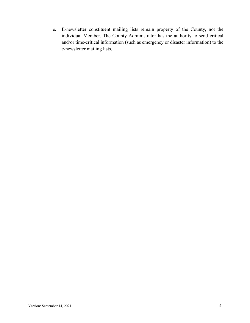e. E-newsletter constituent mailing lists remain property of the County, not the individual Member. The County Administrator has the authority to send critical and/or time-critical information (such as emergency or disaster information) to the e-newsletter mailing lists.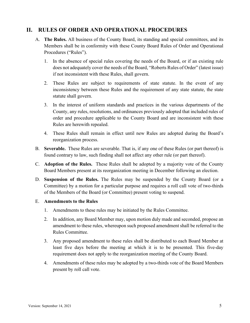## <span id="page-8-1"></span><span id="page-8-0"></span>**II. RULES OF ORDER AND OPERATIONAL PROCEDURES**

- A. **The Rules.** All business of the County Board, its standing and special committees, and its Members shall be in conformity with these County Board Rules of Order and Operational Procedures ("Rules").
	- 1. In the absence of special rules covering the needs of the Board, or if an existing rule does not adequately cover the needs of the Board, "Roberts Rules of Order" (latest issue) if not inconsistent with these Rules, shall govern.
	- 2. These Rules are subject to requirements of state statute. In the event of any inconsistency between these Rules and the requirement of any state statute, the state statute shall govern.
	- 3. In the interest of uniform standards and practices in the various departments of the County, any rules, resolutions, and ordinances previously adopted that included rules of order and procedure applicable to the County Board and are inconsistent with these Rules are herewith repealed.
	- 4. These Rules shall remain in effect until new Rules are adopted during the Board's reorganization process.
- <span id="page-8-2"></span>B. **Severable.** These Rules are severable. That is, if any one of these Rules (or part thereof) is found contrary to law, such finding shall not affect any other rule (or part thereof).
- <span id="page-8-3"></span>C. **Adoption of the Rules.** These Rules shall be adopted by a majority vote of the County Board Members present at its reorganization meeting in December following an election.
- <span id="page-8-4"></span>D. **Suspension of the Rules.** The Rules may be suspended by the County Board (or a Committee) by a motion for a particular purpose and requires a roll call vote of two-thirds of the Members of the Board (or Committee) present voting to suspend.

#### <span id="page-8-5"></span>E. **Amendments to the Rules**

- 1. Amendments to these rules may be initiated by the Rules Committee.
- 2. In addition, any Board Member may, upon motion duly made and seconded, propose an amendment to these rules, whereupon such proposed amendment shall be referred to the Rules Committee.
- 3. Any proposed amendment to these rules shall be distributed to each Board Member at least five days before the meeting at which it is to be presented. This five-day requirement does not apply to the reorganization meeting of the County Board.
- 4. Amendments of these rules may be adopted by a two-thirds vote of the Board Members present by roll call vote.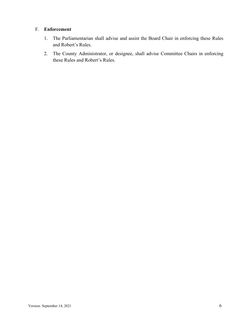#### <span id="page-9-0"></span>F. **Enforcement**

- 1. The Parliamentarian shall advise and assist the Board Chair in enforcing these Rules and Robert's Rules.
- 2. The County Administrator, or designee, shall advise Committee Chairs in enforcing these Rules and Robert's Rules.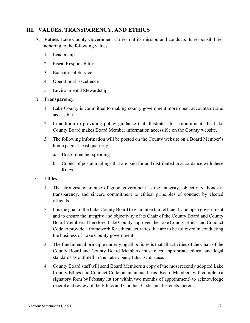# <span id="page-10-1"></span><span id="page-10-0"></span>**III. VALUES, TRANSPARENCY, AND ETHICS**

- A. **Values.** Lake County Government carries out its mission and conducts its responsibilities adhering to the following values:
	- 1. Leadership
	- 2. Fiscal Responsibility
	- 3. Exceptional Service
	- 4. Operational Excellence
	- 5. Environmental Stewardship

#### <span id="page-10-2"></span>B. **Transparency**

- 1. Lake County is committed to making county government more open, accountable,and accessible.
- 2. In addition to providing policy guidance that illustrates this commitment, the Lake County Board makes Board Member information accessible on the County website.
- 3. The following information will be posted on the County website on a Board Member's home page at least quarterly:
	- a. Board member spending
	- b. Copies of postal mailings that are paid for and distributed in accordance with these Rules

#### <span id="page-10-3"></span>C. **Ethics**

- 1. The strongest guarantee of good government is the integrity, objectivity, honesty, transparency, and sincere commitment to ethical principles of conduct by elected officials.
- 2. It is the goal of the Lake County Board to guarantee fair, efficient, and open government and to ensure the integrity and objectivity of its Chair of the County Board and County Board Members. Therefore, Lake County approved the Lake County Ethics and Conduct Code to provide a framework for ethical activities that are to be followed in conducting the business of Lake County government.
- 3. The fundamental principle underlying all policies is that all activities of the Chair of the County Board and County Board Members must meet appropriate ethical and legal standards as outlined in the Lake County Ethics Ordinance.
- 4. County Board staff will send Board Members a copy of the most recently adopted Lake County Ethics and Conduct Code on an annual basis. Board Members will complete a signatory form by February 1st (or within two months of appointment) to acknowledge receipt and review of the Ethics and Conduct Code and the tenets therein.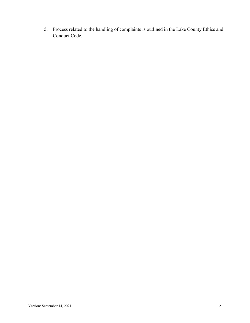5. Process related to the handling of complaints is outlined in the Lake County Ethics and Conduct Code.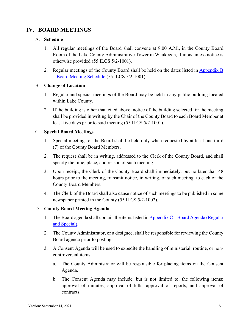# <span id="page-12-0"></span>**IV. BOARD MEETINGS**

#### <span id="page-12-1"></span>A. **Schedule**

- 1. All regular meetings of the Board shall convene at 9:00 A.M., in the County Board Room of the Lake County Administrative Tower in Waukegan, Illinois unless notice is otherwise provided (55 ILCS 5/2-1001).
- 2. Regular meetings of the County Board shall be held on the dates listed in [Appendix B](#page-43-0)  – [Board Meeting Schedule](#page-43-0) (55 ILCS 5/2-1001).

#### <span id="page-12-2"></span>B. **Change of Location**

- 1. Regular and special meetings of the Board may be held in any public building located within Lake County.
- 2. If the building is other than cited above, notice of the building selected for the meeting shall be provided in writing by the Chair of the County Board to each Board Member at least five days prior to said meeting (55 ILCS 5/2-1001).

#### <span id="page-12-3"></span>C. **Special Board Meetings**

- 1. Special meetings of the Board shall be held only when requested by at least one-third (7) of the County Board Members.
- 2. The request shall be in writing, addressed to the Clerk of the County Board, and shall specify the time, place, and reason of such meeting.
- 3. Upon receipt, the Clerk of the County Board shall immediately, but no later than 48 hours prior to the meeting, transmit notice, in writing, of such meeting, to each of the County Board Members.
- 4. The Clerk of the Board shall also cause notice of such meetings to be published in some newspaper printed in the County (55 ILCS 5/2-1002).

#### <span id="page-12-4"></span>D. **County Board Meeting Agenda**

- 1. The Board agenda shall contain the items listed in  $\Delta$ ppendix  $C -$ Board  $\Delta$ genda (Regular [and Special\).](#page-44-0)
- 2. The County Administrator, or a designee, shall be responsible for reviewing the County Board agenda prior to posting.
- 3. A Consent Agenda will be used to expedite the handling of ministerial, routine, or noncontroversial items.
	- a. The County Administrator will be responsible for placing items on the Consent Agenda.
	- b. The Consent Agenda may include, but is not limited to, the following items: approval of minutes, approval of bills, approval of reports, and approval of contracts.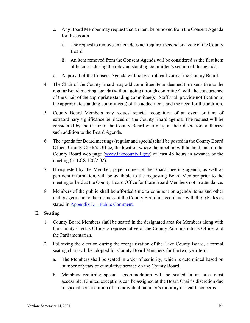- c. Any Board Member may request that an item be removed from the Consent Agenda for discussion.
	- i. The request to remove an item does not require a second or a vote of the County Board.
	- ii. An item removed from the Consent Agenda will be considered as the first item of business during the relevant standing committee's section of the agenda.
- d. Approval of the Consent Agenda will be by a roll call vote of the County Board.
- 4. The Chair of the County Board may add committee items deemed time sensitive to the regular Board meeting agenda (without going through committee), with the concurrence of the Chair of the appropriate standing committee(s). Staff shall provide notification to the appropriate standing committee(s) of the added items and the need for the addition.
- 5. County Board Members may request special recognition of an event or item of extraordinary significance be placed on the County Board agenda. The request will be considered by the Chair of the County Board who may, at their discretion, authorize such addition to the Board Agenda.
- 6. The agenda for Board meetings (regular and special) shall be posted in the County Board Office, County Clerk's Office, the location where the meeting will be held, and on the County Board web page [\(www.lakecountyil.gov\)](http://www.lakecountyil.gov/) at least 48 hours in advance of the meeting (5 ILCS 120/2.02).
- 7. If requested by the Member, paper copies of the Board meeting agenda, as well as pertinent information, will be available to the requesting Board Member prior to the meeting or held at the County Board Office for those Board Members not in attendance.
- 8. Members of the public shall be afforded time to comment on agenda items and other matters germane to the business of the County Board in accordance with these Rules as stated in Appendix  $D -$ [Public Comment.](#page-45-0)

#### <span id="page-13-0"></span>E. **Seating**

- 1. County Board Members shall be seated in the designated area for Members along with the County Clerk's Office, a representative of the County Administrator's Office, and the Parliamentarian.
- 2. Following the election during the reorganization of the Lake County Board, a formal seating chart will be adopted for County Board Members for the two-year term.
	- a. The Members shall be seated in order of seniority, which is determined based on number of years of cumulative service on the County Board.
	- b. Members requiring special accommodation will be seated in an area most accessible. Limited exceptions can be assigned at the Board Chair's discretion due to special consideration of an individual member's mobility or health concerns.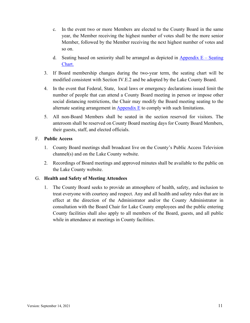- c. In the event two or more Members are elected to the County Board in the same year, the Member receiving the highest number of votes shall be the more senior Member, followed by the Member receiving the next highest number of votes and so on.
- d. Seating based on seniority shall be arranged as depicted in Appendix  $E -$  Seating [Chart.](#page-49-0)
- 3. If Board membership changes during the two-year term, the seating chart will be modified consistent with Section IV.E.2 and be adopted by the Lake County Board.
- 4. In the event that Federal, State, local laws or emergency declarations issued limit the number of people that can attend a County Board meeting in person or impose other social distancing restrictions, the Chair may modify the Board meeting seating to the alternate seating arrangement in  $\Delta$ ppendix  $E$  to comply with such limitations.
- 5. All non-Board Members shall be seated in the section reserved for visitors. The anteroom shall be reserved on County Board meeting days for County Board Members, their guests, staff, and elected officials.

#### <span id="page-14-0"></span>F. **Public Access**

- 1. County Board meetings shall broadcast live on the County's Public Access Television channel(s) and on the Lake County website.
- 2. Recordings of Board meetings and approved minutes shall be available to the public on the Lake County website.

#### <span id="page-14-1"></span>G. **Health and Safety of Meeting Attendees**

1. The County Board seeks to provide an atmosphere of health, safety, and inclusion to treat everyone with courtesy and respect. Any and all health and safety rules that are in effect at the direction of the Administrator and/or the County Administrator in consultation with the Board Chair for Lake County employees and the public entering County facilities shall also apply to all members of the Board, guests, and all public while in attendance at meetings in County facilities.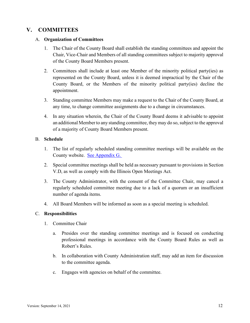# <span id="page-15-0"></span>**V. COMMITTEES**

#### <span id="page-15-1"></span>A. **Organization of Committees**

- 1. The Chair of the County Board shall establish the standing committees and appoint the Chair, Vice-Chair and Members of all standing committees subject to majority approval of the County Board Members present.
- 2. Committees shall include at least one Member of the minority political party(ies) as represented on the County Board, unless it is deemed impractical by the Chair of the County Board, or the Members of the minority political party(ies) decline the appointment.
- 3. Standing committee Members may make a request to the Chair of the County Board, at any time, to change committee assignments due to a change in circumstances.
- 4. In any situation wherein, the Chair of the County Board deems it advisable to appoint an additional Member to any standing committee, they may do so, subject to the approval of a majority of County Board Members present.

#### <span id="page-15-2"></span>B. **Schedule**

- 1. The list of regularly scheduled standing committee meetings will be available on the County website. [See Appendix G.](#page-52-0)
- 2. Special committee meetings shall be held as necessary pursuant to provisions in Section V.D, as well as comply with the Illinois Open Meetings Act.
- 3. The County Administrator, with the consent of the Committee Chair, may cancel a regularly scheduled committee meeting due to a lack of a quorum or an insufficient number of agenda items.
- 4. All Board Members will be informed as soon as a special meeting is scheduled.

#### <span id="page-15-3"></span>C. **Responsibilities**

- 1. Committee Chair
	- a. Presides over the standing committee meetings and is focused on conducting professional meetings in accordance with the County Board Rules as well as Robert's Rules.
	- b. In collaboration with County Administration staff, may add an item for discussion to the committee agenda.
	- c. Engages with agencies on behalf of the committee.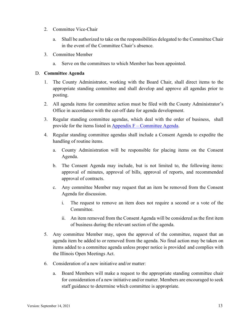- 2. Committee Vice-Chair
	- a. Shall be authorized to take on the responsibilities delegated to the Committee Chair in the event of the Committee Chair's absence.
- 3. Committee Member
	- a. Serve on the committees to which Member has been appointed.

#### <span id="page-16-0"></span>D. **Committee Agenda**

- 1. The County Administrator, working with the Board Chair, shall direct items to the appropriate standing committee and shall develop and approve all agendas prior to posting.
- 2. All agenda items for committee action must be filed with the County Administrator's Office in accordance with the cut-off date for agenda development.
- 3. Regular standing committee agendas, which deal with the order of business, shall provide for the items listed in Appendix F – [Committee Agenda.](#page-50-0)
- 4. Regular standing committee agendas shall include a Consent Agenda to expedite the handling of routine items.
	- a. County Administration will be responsible for placing items on the Consent Agenda.
	- b. The Consent Agenda may include, but is not limited to, the following items: approval of minutes, approval of bills, approval of reports, and recommended approval of contracts.
	- c. Any committee Member may request that an item be removed from the Consent Agenda for discussion.
		- i. The request to remove an item does not require a second or a vote of the Committee.
		- ii. An item removed from the Consent Agenda will be considered as the first item of business during the relevant section of the agenda.
- 5. Any committee Member may, upon the approval of the committee, request that an agenda item be added to or removed from the agenda. No final action may be taken on items added to a committee agenda unless proper notice is provided and complies with the Illinois Open Meetings Act.
- 6. Consideration of a new initiative and/or matter:
	- a. Board Members will make a request to the appropriate standing committee chair for consideration of a new initiative and/or matter. Members are encouraged to seek staff guidance to determine which committee is appropriate.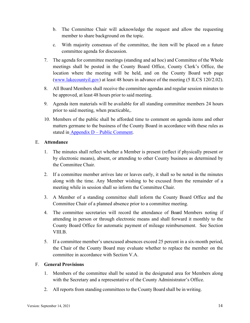- b. The Committee Chair will acknowledge the request and allow the requesting member to share background on the topic.
- c. With majority consensus of the committee, the item will be placed on a future committee agenda for discussion.
- 7. The agenda for committee meetings (standing and ad hoc) and Committee of the Whole meetings shall be posted in the County Board Office, County Clerk's Office, the location where the meeting will be held, and on the County Board web page [\(www.lakecountyil.gov\)](http://www.lakecountyil.gov/) at least 48 hours in advance of the meeting (5 ILCS 120/2.02).
- 8. All Board Members shall receive the committee agendas and regular session minutes to be approved, at least 48 hours prior to said meeting.
- 9. Agenda item materials will be available for all standing committee members 24 hours prior to said meeting, when practicable,.
- 10. Members of the public shall be afforded time to comment on agenda items and other matters germane to the business of the County Board in accordance with these rules as stated in Appendix  $D -$  [Public Comment.](#page-45-0)

#### <span id="page-17-0"></span>E. **Attendance**

- 1. The minutes shall reflect whether a Member is present (reflect if physically present or by electronic means), absent, or attending to other County business as determined by the Committee Chair.
- 2. If a committee member arrives late or leaves early, it shall so be noted in the minutes along with the time. Any Member wishing to be excused from the remainder of a meeting while in session shall so inform the Committee Chair.
- 3. A Member of a standing committee shall inform the County Board Office and the Committee Chair of a planned absence prior to a committee meeting.
- 4. The committee secretaries will record the attendance of Board Members noting if attending in person or through electronic means and shall forward it monthly to the County Board Office for automatic payment of mileage reimbursement. See Section VIII.B.
- 5. If a committee member's unexcused absences exceed 25 percent in a six-month period, the Chair of the County Board may evaluate whether to replace the member on the committee in accordance with Section V.A.

#### <span id="page-17-1"></span>F. **General Provisions**

- 1. Members of the committee shall be seated in the designated area for Members along with the Secretary and a representative of the County Administrator's Office.
- 2. All reports from standing committeesto the County Board shall be in writing.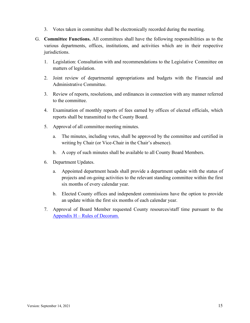- 3. Votes taken in committee shall be electronically recorded during the meeting.
- <span id="page-18-0"></span>G. **Committee Functions.** All committees shall have the following responsibilities as to the various departments, offices, institutions, and activities which are in their respective jurisdictions.
	- 1. Legislation: Consultation with and recommendations to the Legislative Committee on matters of legislation.
	- 2. Joint review of departmental appropriations and budgets with the Financial and Administrative Committee.
	- 3. Review of reports, resolutions, and ordinances in connection with any manner referred to the committee.
	- 4. Examination of monthly reports of fees earned by offices of elected officials, which reports shall be transmitted to the County Board.
	- 5. Approval of all committee meeting minutes.
		- a. The minutes, including votes, shall be approved by the committee and certified in writing by Chair (or Vice-Chair in the Chair's absence).
		- b. A copy of such minutes shall be available to all County Board Members.
	- 6. Department Updates.
		- a. Appointed department heads shall provide a department update with the status of projects and on-going activities to the relevant standing committee within the first six months of every calendar year.
		- b. Elected County offices and independent commissions have the option to provide an update within the first six months of each calendar year.
	- 7. Approval of Board Member requested County resources/staff time pursuant to the Appendix H – [Rules of Decorum.](#page-53-0)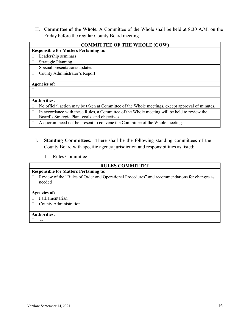<span id="page-19-0"></span>H. **Committee of the Whole.** A Committee of the Whole shall be held at 8:30 A.M. on the Friday before the regular County Board meeting.

| <b>COMMITTEE OF THE WHOLE (COW)</b>                                                             |  |  |  |
|-------------------------------------------------------------------------------------------------|--|--|--|
| <b>Responsible for Matters Pertaining to:</b>                                                   |  |  |  |
| Leadership seminars                                                                             |  |  |  |
| <b>Strategic Planning</b>                                                                       |  |  |  |
| Special presentations/updates                                                                   |  |  |  |
| County Administrator's Report                                                                   |  |  |  |
|                                                                                                 |  |  |  |
| <b>Agencies of:</b>                                                                             |  |  |  |
|                                                                                                 |  |  |  |
|                                                                                                 |  |  |  |
| <b>Authorities:</b>                                                                             |  |  |  |
| No official action may be taken at Committee of the Whole meetings, except approval of minutes. |  |  |  |
| In accordance with these Rules, a Committee of the Whole meeting will be held to review the     |  |  |  |
| Board's Strategic Plan, goals, and objectives.                                                  |  |  |  |
| A quorum need not be present to convene the Committee of the Whole meeting.                     |  |  |  |

- <span id="page-19-1"></span>I. **Standing Committees**. There shall be the following standing committees of the County Board with specific agency jurisdiction and responsibilities as listed:
	- 1. Rules Committee

<span id="page-19-2"></span>

| <b>RULES COMMITTEE</b>                                                                                 |  |  |  |  |
|--------------------------------------------------------------------------------------------------------|--|--|--|--|
| <b>Responsible for Matters Pertaining to:</b>                                                          |  |  |  |  |
| Review of the "Rules of Order and Operational Procedures" and recommendations for changes as<br>needed |  |  |  |  |
| <b>Agencies of:</b>                                                                                    |  |  |  |  |
| Parliamentarian                                                                                        |  |  |  |  |
| County Administration                                                                                  |  |  |  |  |
|                                                                                                        |  |  |  |  |
| <b>Authorities:</b>                                                                                    |  |  |  |  |
|                                                                                                        |  |  |  |  |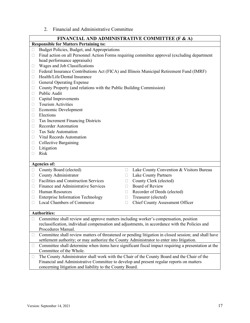2. Financial and Administrative Committee

<span id="page-20-0"></span>

|              | <b>FINANCIAL AND ADMINISTRATIVE COMMITTEE (F &amp; A)</b>                                                                                                                                         |                                          |  |  |  |
|--------------|---------------------------------------------------------------------------------------------------------------------------------------------------------------------------------------------------|------------------------------------------|--|--|--|
|              | <b>Responsible for Matters Pertaining to:</b>                                                                                                                                                     |                                          |  |  |  |
| $\Box$       | Budget Policies, Budget, and Appropriations                                                                                                                                                       |                                          |  |  |  |
| $\Box$       | Final action on all Personnel Action Forms requiring committee approval (excluding department                                                                                                     |                                          |  |  |  |
|              | head performance appraisals)                                                                                                                                                                      |                                          |  |  |  |
| u            | Wages and Job Classifications                                                                                                                                                                     |                                          |  |  |  |
| u            | Federal Insurance Contributions Act (FICA) and Illinois Municipal Retirement Fund (IMRF)                                                                                                          |                                          |  |  |  |
| $\Box$       | Health/Life/Dental Insurance                                                                                                                                                                      |                                          |  |  |  |
| u            | <b>General Operating Expense</b>                                                                                                                                                                  |                                          |  |  |  |
| □            | County Property (and relations with the Public Building Commission)                                                                                                                               |                                          |  |  |  |
| $\mathbf{L}$ | Public Audit                                                                                                                                                                                      |                                          |  |  |  |
| □            | Capital Improvements                                                                                                                                                                              |                                          |  |  |  |
| u            | <b>Tourism Activities</b>                                                                                                                                                                         |                                          |  |  |  |
| u            | Economic Development                                                                                                                                                                              |                                          |  |  |  |
| u            | Elections                                                                                                                                                                                         |                                          |  |  |  |
| □            | <b>Tax Increment Financing Districts</b>                                                                                                                                                          |                                          |  |  |  |
| $\mathbf{L}$ | <b>Recorder Automation</b>                                                                                                                                                                        |                                          |  |  |  |
| u            | Tax Sale Automation                                                                                                                                                                               |                                          |  |  |  |
| u            | Vital Records Automation                                                                                                                                                                          |                                          |  |  |  |
| Ш            | <b>Collective Bargaining</b>                                                                                                                                                                      |                                          |  |  |  |
| Ш            | Litigation                                                                                                                                                                                        |                                          |  |  |  |
| Ш            | Risk                                                                                                                                                                                              |                                          |  |  |  |
|              | <b>Agencies of:</b>                                                                                                                                                                               |                                          |  |  |  |
| $\Box$       | County Board (elected)<br>0                                                                                                                                                                       | Lake County Convention & Visitors Bureau |  |  |  |
| $\Box$       | County Administrator<br>$\mathbf{L}$                                                                                                                                                              | <b>Lake County Partners</b>              |  |  |  |
| П            | <b>Facilities and Construction Services</b><br>П                                                                                                                                                  | County Clerk (elected)                   |  |  |  |
| $\mathbf{L}$ | Finance and Administrative Services<br>$\Box$                                                                                                                                                     | <b>Board of Review</b>                   |  |  |  |
| u            | Human Resources<br>H                                                                                                                                                                              | Recorder of Deeds (elected)              |  |  |  |
| u            | <b>Enterprise Information Technology</b><br>H                                                                                                                                                     | Treasurer (elected)                      |  |  |  |
| $\Box$       | Local Chambers of Commerce<br>$\Box$                                                                                                                                                              | <b>Chief County Assessment Officer</b>   |  |  |  |
|              |                                                                                                                                                                                                   |                                          |  |  |  |
|              | <b>Authorities:</b>                                                                                                                                                                               |                                          |  |  |  |
|              | Committee shall review and approve matters including worker's compensation, position                                                                                                              |                                          |  |  |  |
|              | reclassification, individual compensation and adjustments, in accordance with the Policies and                                                                                                    |                                          |  |  |  |
|              | Procedures Manual.                                                                                                                                                                                |                                          |  |  |  |
| Ш            | Committee shall review matters of threatened or pending litigation in closed session; and shall have<br>settlement authority; or may authorize the County Administrator to enter into litigation. |                                          |  |  |  |
| □            | Committee shall determine when items have significant fiscal impact requiring a presentation at the                                                                                               |                                          |  |  |  |
|              | Committee of the Whole.                                                                                                                                                                           |                                          |  |  |  |
| □            | The County Administrator shall work with the Chair of the County Board and the Chair of the                                                                                                       |                                          |  |  |  |
|              | Financial and Administrative Committee to develop and present regular reports on matters                                                                                                          |                                          |  |  |  |
|              | concerning litigation and liability to the County Board.                                                                                                                                          |                                          |  |  |  |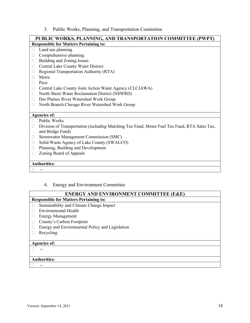3. Public Works, Planning, and Transportation Committee

<span id="page-21-0"></span>

|        | PUBLIC WORKS, PLANNING, AND TRANSPORTATION COMMITTEE (PWPT)                                  |
|--------|----------------------------------------------------------------------------------------------|
|        | <b>Responsible for Matters Pertaining to:</b>                                                |
|        | Land use planning                                                                            |
|        | Comprehensive planning                                                                       |
| $\Box$ | Building and Zoning Issues                                                                   |
| $\Box$ | Central Lake County Water District                                                           |
|        | Regional Transportation Authority (RTA)                                                      |
|        | Metra                                                                                        |
|        | Pace                                                                                         |
| $\Box$ | Central Lake County Joint Action Water Agency (CLCJAWA)                                      |
| □      | North Shore Water Reclamation District (NSWRD)                                               |
| $\Box$ | Des Plaines River Watershed Work Group                                                       |
|        | North Branch Chicago River Watershed Work Group                                              |
|        |                                                                                              |
|        | <b>Agencies of:</b>                                                                          |
|        | Public Works                                                                                 |
|        | Division of Transportation (including Matching Tax Fund, Motor Fuel Tax Fund, RTA Sales Tax, |
|        | and Bridge Fund)                                                                             |
| Ш      | Stormwater Management Commission (SMC)                                                       |
| $\Box$ | Solid Waste Agency of Lake County (SWALCO)                                                   |
| □      | Planning, Building and Development                                                           |
|        | Zoning Board of Appeals                                                                      |
|        |                                                                                              |
|        | <b>Authorities:</b>                                                                          |
|        | --                                                                                           |

#### 4. Energy and Environment Committee

#### **ENERGY AND ENVIRONMENT COMMITTEE (E&E)**

## <span id="page-21-1"></span>**Responsible for Matters Pertaining to:**

- □ Sustainability and Climate Change Impact
- Environmental Health
- **Energy Management**
- County's Carbon Footprint
- Energy and Environmental Policy and Legislation
- $\Box$  Recycling

#### **Agencies of:**

#### $\Box$

#### **Authorities:**

--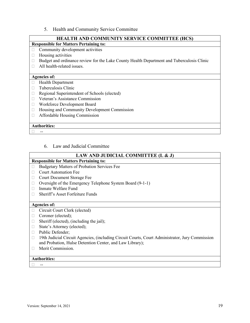5. Health and Community Service Committee

#### **HEALTH AND COMMUNITY SERVICE COMMITTEE (HCS)**

#### <span id="page-22-0"></span>**Responsible for Matters Pertaining to:**

- $\Box$  Community development activities
- $\Box$  Housing activities
- □ Budget and ordinance review for the Lake County Health Department and Tuberculosis Clinic
- All health-related issues.

#### **Agencies of:**

- Health Department
- Tuberculosis Clinic
- □ Regional Superintendent of Schools (elected)
- Veteran's Assistance Commission
- Workforce Development Board
- □ Housing and Community Development Commission
- Affordable Housing Commission

#### **Authorities:**

--

#### 6. Law and Judicial Committee

#### <span id="page-22-1"></span>**LAW AND JUDICIAL COMMITTEE (L & J) Responsible for Matters Pertaining to:**  $\Box$  Budgetary Matters of Probation Services Fee Court Automation Fee □ Court Document Storage Fee □ Oversight of the Emergency Telephone System Board (9-1-1) □ Inmate Welfare Fund □ Sheriff's Asset Forfeiture Funds **Agencies of:** Circuit Court Clerk (elected) □ Coroner (elected);  $\Box$  Sheriff (elected), (including the jail); □ State's Attorney (elected); D Public Defender: □ 19th Judicial Circuit Agencies, (including Circuit Courts, Court Administrator, Jury Commission and Probation, Hulse Detention Center, and Law Library); **Merit Commission.**

#### **Authorities:**

--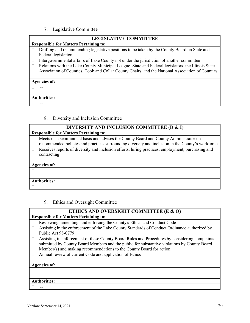7. Legislative Committee

<span id="page-23-0"></span>

| <b>LEGISLATIVE COMMITTEE</b> |                                                                                                                                                                                                        |  |  |  |
|------------------------------|--------------------------------------------------------------------------------------------------------------------------------------------------------------------------------------------------------|--|--|--|
|                              | <b>Responsible for Matters Pertaining to:</b>                                                                                                                                                          |  |  |  |
|                              | Drafting and recommending legislative positions to be taken by the County Board on State and<br>Federal legislation                                                                                    |  |  |  |
| $\Box$                       | Intergovernmental affairs of Lake County not under the jurisdiction of another committee                                                                                                               |  |  |  |
| П                            | Relations with the Lake County Municipal League, State and Federal legislators, the Illinois State<br>Association of Counties, Cook and Collar County Chairs, and the National Association of Counties |  |  |  |
| <b>Agencies of:</b>          |                                                                                                                                                                                                        |  |  |  |
|                              |                                                                                                                                                                                                        |  |  |  |
|                              |                                                                                                                                                                                                        |  |  |  |
|                              | <b>Authorities:</b>                                                                                                                                                                                    |  |  |  |
|                              |                                                                                                                                                                                                        |  |  |  |

8. Diversity and Inclusion Committee

<span id="page-23-1"></span>

| DIVERSITY AND INCLUSION COMMITTEE (D & I)                                                                                                                                                 |  |  |  |
|-------------------------------------------------------------------------------------------------------------------------------------------------------------------------------------------|--|--|--|
| <b>Responsible for Matters Pertaining to:</b>                                                                                                                                             |  |  |  |
| Meets on a semi-annual basis and advises the County Board and County Administrator on<br>recommended policies and practices surrounding diversity and inclusion in the County's workforce |  |  |  |
| Receives reports of diversity and inclusion efforts, hiring practices, employment, purchasing and<br>contracting                                                                          |  |  |  |
| <b>Agencies of:</b>                                                                                                                                                                       |  |  |  |
|                                                                                                                                                                                           |  |  |  |
| <b>Authorities:</b>                                                                                                                                                                       |  |  |  |
|                                                                                                                                                                                           |  |  |  |

9. Ethics and Oversight Committee

<span id="page-23-2"></span>

| ETHICS AND OVERSIGHT COMMITTEE (E & O)                                                                                                                                                                                   |  |  |  |
|--------------------------------------------------------------------------------------------------------------------------------------------------------------------------------------------------------------------------|--|--|--|
| <b>Responsible for Matters Pertaining to:</b>                                                                                                                                                                            |  |  |  |
| Reviewing, amending, and enforcing the County's Ethics and Conduct Code                                                                                                                                                  |  |  |  |
| Assisting in the enforcement of the Lake County Standards of Conduct Ordinance authorized by                                                                                                                             |  |  |  |
| Public Act 98-0779                                                                                                                                                                                                       |  |  |  |
| Assisting in enforcement of these County Board Rules and Procedures by considering complaints<br>$\overline{\phantom{a}}$<br>submitted by County Board Members and the public for substantive violations by County Board |  |  |  |
| Member(s) and making recommendations to the County Board for action                                                                                                                                                      |  |  |  |
| Annual review of current Code and application of Ethics                                                                                                                                                                  |  |  |  |
|                                                                                                                                                                                                                          |  |  |  |
| <b>Agencies of:</b>                                                                                                                                                                                                      |  |  |  |
|                                                                                                                                                                                                                          |  |  |  |
|                                                                                                                                                                                                                          |  |  |  |
| <b>Authorities:</b>                                                                                                                                                                                                      |  |  |  |
|                                                                                                                                                                                                                          |  |  |  |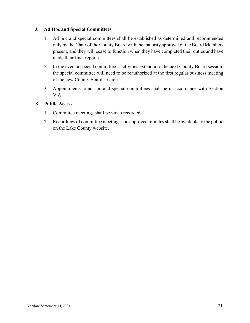#### <span id="page-24-0"></span>J. **Ad Hoc and Special Committees**

- 1. Ad hoc and special committees shall be established as determined and recommended only by the Chair of the County Board with the majority approval of the Board Members present, and they will cease to function when they have completed their duties and have made their final reports.
- 2. In the event a special committee's activities extend into the next County Board session, the special committee will need to be reauthorized at the first regular business meeting of the new County Board session.
- 3. Appointments to ad hoc and special committees shall be in accordance with Section V.A.

#### <span id="page-24-1"></span>K. **Public Access**

- 1. Committee meetings shall be video recorded.
- 2. Recordings of committee meetings and approved minutes shall be available to the public on the Lake County website.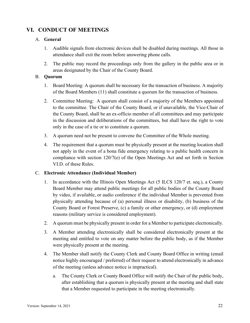# <span id="page-25-0"></span>**VI. CONDUCT OF MEETINGS**

#### <span id="page-25-1"></span>A. **General**

- 1. Audible signals from electronic devices shall be disabled during meetings. All those in attendance shall exit the room before answering phone calls.
- 2. The public may record the proceedings only from the gallery in the public area or in areas designated by the Chair of the County Board.

#### <span id="page-25-2"></span>B. **Quorum**

- 1. Board Meeting: A quorum shall be necessary for the transaction of business. A majority of the Board Members (11) shall constitute a quorum for the transaction of business.
- 2. Committee Meeting: A quorum shall consist of a majority of the Members appointed to the committee. The Chair of the County Board, or if unavailable, the Vice-Chair of the County Board, shall be an ex-officio member of all committees and may participate in the discussion and deliberations of the committees, but shall have the right to vote only in the case of a tie or to constitute a quorum.
- 3. A quorum need not be present to convene the Committee of the Whole meeting.
- 4. The requirement that a quorum must be physically present at the meeting location shall not apply in the event of a bona fide emergency relating to a public health concern in compliance with section 120/7(e) of the Open Meetings Act and set forth in Section VI.D. of these Rules.

#### <span id="page-25-3"></span>C. **Electronic Attendance (Individual Member)**

- 1. In accordance with the Illinois Open Meetings Act (5 ILCS 120/7 et. seq.), a County Board Member may attend public meetings for all public bodies of the County Board by video, if available, or audio conference if the individual Member is prevented from physically attending because of (a) personal illness or disability, (b) business of the County Board or Forest Preserve, (c) a family or other emergency, or (d) employment reasons (military service is considered employment).
- 2. A quorum must be physically present in order for a Member to participate electronically.
- 3. A Member attending electronically shall be considered electronically present at the meeting and entitled to vote on any matter before the public body, as if the Member were physically present at the meeting.
- 4. The Member shall notify the County Clerk and County Board Office in writing (email notice highly encouraged / preferred) of their request to attend electronically in advance of the meeting (unless advance notice is impractical).
	- a. The County Clerk or County Board Office will notify the Chair of the public body, after establishing that a quorum is physically present at the meeting and shall state that a Member requested to participate in the meeting electronically.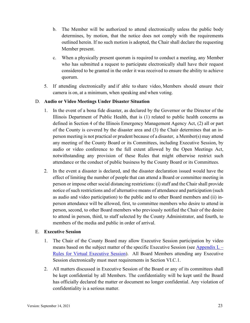- b. The Member will be authorized to attend electronically unless the public body determines, by motion, that the notice does not comply with the requirements outlined herein. If no such motion is adopted, the Chair shall declare the requesting Member present.
- c. When a physically present quorum is required to conduct a meeting, any Member who has submitted a request to participate electronically shall have their request considered to be granted in the order it was received to ensure the ability to achieve quorum.
- 5. If attending electronically and if able to share video, Members should ensure their camera is on, at a minimum, when speaking and when voting.

#### <span id="page-26-0"></span>D. **Audio or Video Meetings Under Disaster Situation**

- 1. In the event of a bona fide disaster, as declared by the Governor or the Director of the Illinois Department of Public Health, that is (1) related to public health concerns as defined in Section 4 of the Illinois Emergency Management Agency Act, (2) all or part of the County is covered by the disaster area and (3) the Chair determines that an inperson meeting is not practical or prudent because of a disaster, a Member(s) may attend any meeting of the County Board or its Committees, including Executive Session, by audio or video conference to the full extent allowed by the Open Meetings Act, notwithstanding any provision of these Rules that might otherwise restrict such attendance or the conduct of public business by the County Board or its Committees.
- 2. In the event a disaster is declared, and the disaster declaration issued would have the effect of limiting the number of people that can attend a Board or committee meeting in person or impose other social distancing restrictions: (i) staff and the Chair shall provide notice of such restrictions and of alternative means of attendance and participation (such as audio and video participation) to the public and to other Board members and (ii) inperson attendance will be allowed, first, to committee members who desire to attend in person, second, to other Board members who previously notified the Chair of the desire to attend in person, third, to staff selected by the County Administrator, and fourth, to members of the media and public in order of arrival.

#### <span id="page-26-1"></span>E. **Executive Session**

- 1. The Chair of the County Board may allow Executive Session participation by video means based on the subject matter of the specific Executive Session (see Appendix  $L -$ [Rules for Virtual Executive Session\)](#page-62-0). All Board Members attending any Executive Session electronically must meet requirements in Section VI.C.1.
- 2. All matters discussed in Executive Session of the Board or any of its committees shall be kept confidential by all Members. The confidentiality will be kept until the Board has officially declared the matter or document no longer confidential. Any violation of confidentiality is a serious matter.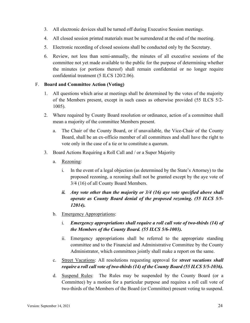- 3. All electronic devices shall be turned off during Executive Session meetings.
- 4. All closed session printed materials must be surrendered at the end of the meeting.
- 5. Electronic recording of closed sessions shall be conducted only by the Secretary.
- 6. Review, not less than semi-annually, the minutes of all executive sessions of the committee not yet made available to the public for the purpose of determining whether the minutes (or portions thereof) shall remain confidential or no longer require confidential treatment (5 ILCS 120/2.06).

#### <span id="page-27-0"></span>F. **Board and Committee Action (Voting)**

- 1. All questions which arise at meetings shall be determined by the votes of the majority of the Members present, except in such cases as otherwise provided (55 ILCS 5/2- 1005).
- 2. Where required by County Board resolution or ordinance, action of a committee shall mean a majority of the committee Members present.
	- a. The Chair of the County Board, or if unavailable, the Vice-Chair of the County Board, shall be an ex-officio member of all committees and shall have the right to vote only in the case of a tie or to constitute a quorum.
- 3. Board Actions Requiring a Roll Call and / or a Super Majority
	- a. Rezoning:
		- i. In the event of a legal objection (as determined by the State's Attorney) to the proposed rezoning, a rezoning shall not be granted except by the aye vote of 3/4 (16) of all County Board Members.
		- *ii. Any vote other than the majority or 3/4 (16) aye vote specified above shall operate as County Board denial of the proposed rezoning. (55 ILCS 5/5- 12014).*
	- b. Emergency Appropriations:
		- i. *Emergency appropriations shall require a roll call vote of two-thirds (14) of the Members of the County Board. (55 ILCS 5/6-1003).*
		- ii. Emergency appropriations shall be referred to the appropriate standing committee and to the Financial and Administrative Committee by the County Administrator, which committees jointly shall make a report on the same.
	- c. Street Vacations: All resolutions requesting approval for *street vacations shall require a roll call vote of two-thirds (14) of the County Board (55 ILCS 5/5-1036).*
	- d. Suspend Rules: The Rules may be suspended by the County Board (or a Committee) by a motion for a particular purpose and requires a roll call vote of two-thirds of the Members of the Board (or Committee) present voting to suspend.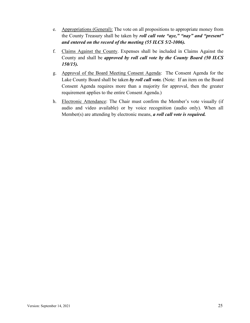- e. Appropriations (General): The vote on all propositions to appropriate money from the County Treasury shall be taken by *roll call vote "aye," "nay" and "present" and entered on the record of the meeting (55 ILCS 5/2-1006).*
- f. Claims Against the County. Expenses shall be included in Claims Against the County and shall be *approved by roll call vote by the County Board (50 ILCS 150/15).*
- g. Approval of the Board Meeting Consent Agenda: The Consent Agenda for the Lake County Board shall be taken *by roll call vote.* (Note: If an item on the Board Consent Agenda requires more than a majority for approval, then the greater requirement applies to the entire Consent Agenda.)
- h. Electronic Attendance: The Chair must confirm the Member's vote visually (if audio and video available) or by voice recognition (audio only). When all Member(s) are attending by electronic means, *a roll call vote is required.*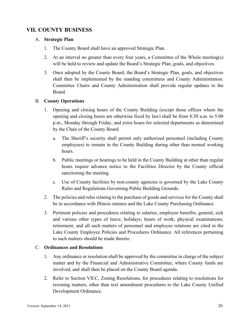# <span id="page-29-0"></span>**VII. COUNTY BUSINESS**

#### <span id="page-29-1"></span>A. **Strategic Plan**

- 1. The County Board shall have an approved Strategic Plan.
- 2. At an interval no greater than every four years, a Committee of the Whole meeting(s) will be held to review and update the Board's Strategic Plan, goals, and objectives.
- 3. Once adopted by the County Board, the Board's Strategic Plan, goals, and objectives shall then be implemented by the standing committees and County Administration. Committee Chairs and County Administration shall provide regular updates to the Board.

#### <span id="page-29-2"></span>B. **County Operations**

- 1. Opening and closing hours of the County Building (except those offices where the opening and closing hours are otherwise fixed by law) shall be from 8:30 a.m. to 5:00 p.m., Monday through Friday, and extra hours for selected departments as determined by the Chair of the County Board.
	- a. The Sheriff's security shall permit only authorized personnel (including County employees) to remain in the County Building during other than normal working hours.
	- b. Public meetings or hearings to be held in the County Building at other than regular hours require advance notice to the Facilities Director by the County official sanctioning the meeting.
	- c. Use of County facilities by non-county agencies is governed by the Lake County Rules and Regulations Governing Public Building Grounds.
- 2. The policies and rules relating to the purchase of goods and services for the County shall be in accordance with Illinois statutes and the Lake County Purchasing Ordinance.
- 3. Pertinent policies and procedures relating to salaries; employee benefits; general, sick and various other types of leave; holidays; hours of work; physical examinations; retirement; and all such matters of personnel and employee relations are cited in the Lake County Employee Policies and Procedures Ordinance. All references pertaining to such matters should be made thereto.

#### <span id="page-29-3"></span>C. **Ordinances and Resolutions**

- 1. Any ordinance or resolution shall be approved by the committee in charge of the subject matter and by the Financial and Administrative Committee, where County funds are involved, and shall then be placed on the County Board agenda.
- 2. Refer to Section VII.C, Zoning Resolutions, for procedures relating to resolutions for rezoning matters, other than text amendment procedures to the Lake County Unified Development Ordinance.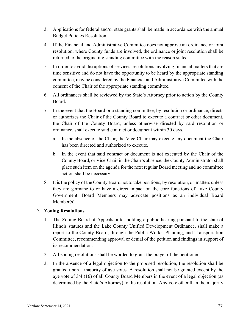- 3. Applications for federal and/or state grants shall be made in accordance with the annual Budget Policies Resolution.
- 4. If the Financial and Administrative Committee does not approve an ordinance or joint resolution, where County funds are involved, the ordinance or joint resolution shall be returned to the originating standing committee with the reason stated.
- 5. In order to avoid disruptions of services, resolutions involving financial matters that are time sensitive and do not have the opportunity to be heard by the appropriate standing committee, may be considered by the Financial and Administrative Committee with the consent of the Chair of the appropriate standing committee.
- 6. All ordinances shall be reviewed by the State's Attorney prior to action by the County Board.
- 7. In the event that the Board or a standing committee, by resolution or ordinance, directs or authorizes the Chair of the County Board to execute a contract or other document, the Chair of the County Board, unless otherwise directed by said resolution or ordinance, shall execute said contract or document within 30 days.
	- a. In the absence of the Chair, the Vice-Chair may execute any document the Chair has been directed and authorized to execute.
	- b. In the event that said contract or document is not executed by the Chair of the County Board, or Vice-Chair in the Chair's absence, the County Administratorshall place such item on the agenda for the next regular Board meeting and no committee action shall be necessary.
- 8. It is the policy of the County Board not to take positions, by resolution, on matters unless they are germane to or have a direct impact on the core functions of Lake County Government. Board Members may advocate positions as an individual Board Member(s).

#### <span id="page-30-0"></span>D. **Zoning Resolutions**

- 1. The Zoning Board of Appeals, after holding a public hearing pursuant to the state of Illinois statutes and the Lake County Unified Development Ordinance, shall make a report to the County Board, through the Public Works, Planning, and Transportation Committee, recommending approval or denial of the petition and findings in support of its recommendation.
- 2. All zoning resolutions shall be worded to grant the prayer of the petitioner.
- 3. In the absence of a legal objection to the proposed resolution, the resolution shall be granted upon a majority of aye votes. A resolution shall not be granted except by the aye vote of 3/4 (16) of all County Board Members in the event of a legal objection (as determined by the State's Attorney) to the resolution. Any vote other than the majority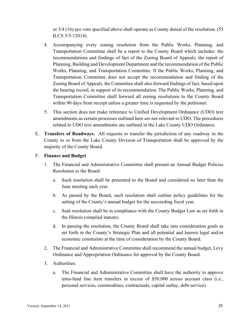or 3/4 (16) aye vote specified above shall operate as County denial of the resolution. (55 ILCS 5/5-12014).

- 4. Accompanying every zoning resolution from the Public Works, Planning, and Transportation Committee shall be a report to the County Board which includes: the recommendations and findings of fact of the Zoning Board of Appeals; the report of Planning, Building and Development Department and the recommendation of the Public Works, Planning, and Transportation Committee. If the Public Works, Planning, and Transportation Committee does not accept the recommendation and finding of the Zoning Board of Appeals, the Committee shall also forward findings of fact, based upon the hearing record, in support of its recommendation. The Public Works, Planning, and Transportation Committee shall forward all zoning resolutions to the County Board within 90 days from receipt unless a greater time is requested by the petitioner.
- 5. This section does not make reference to Unified Development Ordinance (UDO) text amendments as certain processes outlined here are not relevant to UDO. The procedures related to UDO text amendments are outlined in the Lake County UDO Ordinance.
- <span id="page-31-0"></span>E. **Transfers of Roadways.** All requests to transfer the jurisdiction of any roadway in the County to or from the Lake County Division of Transportation shall be approved by the majority of the County Board.

#### <span id="page-31-1"></span>F. **Finance and Budget**

- 1. The Financial and Administrative Committee shall present an Annual Budget Policies Resolution to the Board.
	- a. Such resolution shall be presented to the Board and considered no later than the June meeting each year.
	- b. As passed by the Board, such resolution shall outline policy guidelines for the setting of the County's annual budget for the succeeding fiscal year.
	- c. Said resolution shall be in compliance with the County Budget Law as set forth in the Illinois compiled statutes.
	- d. In passing the resolution, the County Board shall take into consideration goals as set forth in the County's Strategic Plan and all potential and known legal and/or economic constraints at the time of consideration by the County Board.
- 2. The Financial and Administrative Committee shall recommend the annual budget, Levy Ordinance and Appropriation Ordinance for approval by the County Board.
- 3. Authorities:
	- a. The Financial and Administrative Committee shall have the authority to approve intra-fund line item transfers in excess of \$50,000 across account class (i.e., personal services, commodities, contractuals, capital outlay, debt service).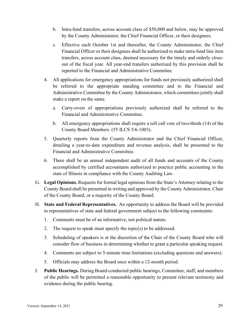- b. Intra-fund transfers, across account class of \$50,000 and below, may be approved by the County Administrator, the Chief Financial Officer, or their designees.
- c. Effective each October 1st and thereafter, the County Administrator, the Chief Financial Officer or their designees shall be authorized to make intra-fund line item transfers, across account class, deemed necessary for the timely and orderly closeout of the fiscal year. All year-end transfers authorized by this provision shall be reported to the Financial and Administrative Committee.
- 4. All applications for emergency appropriations for funds not previously authorized shall be referred to the appropriate standing committee and to the Financial and Administrative Committee by the County Administrator, which committees jointly shall make a report on the same.
	- a. Carry-overs of appropriations previously authorized shall be referred to the Financial and Administrative Committee.
	- b. All emergency appropriations shall require a roll call vote of two-thirds (14) of the County Board Members. (55 ILCS 5/6-1003).
- 5. Quarterly reports from the County Administrator and the Chief Financial Officer, detailing a year-to-date expenditure and revenue analysis, shall be presented to the Financial and Administrative Committee.
- 6. There shall be an annual independent audit of all funds and accounts of the County accomplished by certified accountants authorized to practice public accounting in the state of Illinois in compliance with the County Auditing Law.
- <span id="page-32-0"></span>G. **Legal Opinions.** Requests for formal legal opinions from the State's Attorney relating to the County Board shall be presented in writing and approved by the County Administrator, Chair of the County Board, or a majority of the County Board.
- <span id="page-32-1"></span>H. **State and Federal Representatives.** An opportunity to address the Board will be provided to representatives of state and federal government subject to the following constraints:
	- 1. Comments must be of an informative, not political nature.
	- 2. The request to speak must specify the topic(s) to be addressed.
	- 3. Scheduling of speakers is at the discretion of the Chair of the County Board who will consider flow of business in determining whether to grant a particular speaking request.
	- 4. Comments are subject to 5-minute time limitations (excluding questions and answers).
	- 5. Officials may address the Board once within a 12-month period.
- <span id="page-32-2"></span>I. **Public Hearings.** During Board-conducted public hearings, Committee, staff, and members of the public will be permitted a reasonable opportunity to present relevant testimony and evidence during the public hearing.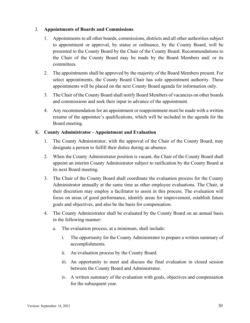#### <span id="page-33-0"></span>J. **Appointments of Boards and Commissions**

- 1. Appointments to all other boards, commissions, districts and all other authorities subject to appointment or approval, by statue or ordinance, by the County Board, will be presented to the County Board by the Chair of the County Board. Recommendations to the Chair of the County Board may be made by the Board Members and/ or its committees.
- 2. The appointments shall be approved by the majority of the Board Members present. For select appointments, the County Board Chair has sole appointment authority. These appointments will be placed on the next County Board agenda for information only.
- 3. The Chair of the County Board shall notify Board Members of vacancies on other boards and commissions and seek their input in advance of the appointment.
- 4. Any recommendation for an appointment or reappointment must be made with a written resume of the appointee's qualifications, which will be included in the agenda for the Board meeting.

#### <span id="page-33-1"></span>K. **County Administrator - Appointment and Evaluation**

- 1. The County Administrator, with the approval of the Chair of the County Board, may designate a person to fulfill their duties during an absence.
- 2. When the County Administrator position is vacant, the Chair of the County Board shall appoint an interim County Administrator subject to ratification by the County Board at its next Board meeting.
- 3. The Chair of the County Board shall coordinate the evaluation process for the County Administrator annually at the same time as other employee evaluations. The Chair, at their discretion may employ a facilitator to assist in this process. The evaluation will focus on areas of good performance, identify areas for improvement, establish future goals and objectives, and also be the basis for compensation.
- 4. The County Administrator shall be evaluated by the County Board on an annual basis in the following manner:
	- a. The evaluation process, at a minimum, shall include:
		- i. The opportunity for the County Administrator to prepare a written summary of accomplishments.
		- ii. An evaluation process by the County Board.
		- iii. An opportunity to meet and discuss the final evaluation in closed session between the County Board and Administrator.
		- iv. A written summary of the evaluation with goals, objectives and compensation for the subsequent year.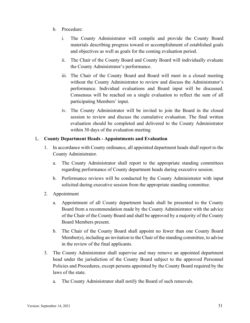- b. Procedure:
	- i. The County Administrator will compile and provide the County Board materials describing progress toward or accomplishment of established goals and objectives as well as goals for the coming evaluation period.
	- ii. The Chair of the County Board and County Board will individually evaluate the County Administrator's performance.
	- iii. The Chair of the County Board and Board will meet in a closed meeting without the County Administrator to review and discuss the Administrator's performance. Individual evaluations and Board input will be discussed. Consensus will be reached on a single evaluation to reflect the sum of all participating Members' input.
	- iv. The County Administrator will be invited to join the Board in the closed session to review and discuss the cumulative evaluation. The final written evaluation should be completed and delivered to the County Administrator within 30 days of the evaluation meeting

#### <span id="page-34-0"></span>L. **County Department Heads - Appointments and Evaluation**

- 1. In accordance with County ordinance, all appointed department heads shall report to the County Administrator.
	- a. The County Administrator shall report to the appropriate standing committees regarding performance of County department heads during executive session.
	- b. Performance reviews will be conducted by the County Administrator with input solicited during executive session from the appropriate standing committee.
- 2. Appointment
	- a. Appointment of all County department heads shall be presented to the County Board from a recommendation made by the County Administrator with the advice of the Chair of the County Board and shall be approved by a majority of the County Board Members present.
	- b. The Chair of the County Board shall appoint no fewer than one County Board Member(s), including an invitation to the Chair of the standing committee, to advise in the review of the final applicants.
- 3. The County Administrator shall supervise and may remove an appointed department head under the jurisdiction of the County Board subject to the approved Personnel Policies and Procedures, except persons appointed by the County Board required by the laws of the state.
	- a. The County Administrator shall notify the Board of such removals.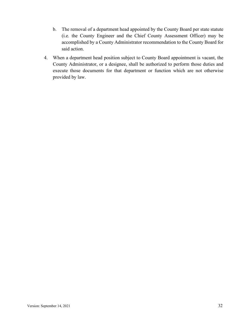- b. The removal of a department head appointed by the County Board per state statute (i.e. the County Engineer and the Chief County Assessment Officer) may be accomplished by a County Administrator recommendation to the County Board for said action.
- 4. When a department head position subject to County Board appointment is vacant, the County Administrator, or a designee, shall be authorized to perform those duties and execute those documents for that department or function which are not otherwise provided by law.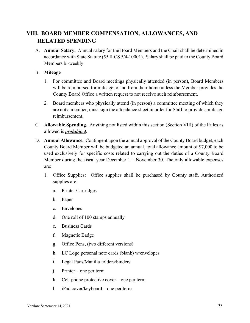# <span id="page-36-0"></span>**VIII. BOARD MEMBER COMPENSATION, ALLOWANCES, AND RELATED SPENDING**

<span id="page-36-1"></span>A. **Annual Salary.** Annual salary for the Board Members and the Chair shall be determined in accordance with State Statute (55 ILCS 5/4-10001). Salary shall be paid to the County Board Members bi-weekly.

#### <span id="page-36-2"></span>B. **Mileage**

- 1. For committee and Board meetings physically attended (in person), Board Members will be reimbursed for mileage to and from their home unless the Member provides the County Board Office a written request to not receive such reimbursement.
- 2. Board members who physically attend (in person) a committee meeting of which they are not a member, must sign the attendance sheet in order for Staff to provide a mileage reimbursement.
- <span id="page-36-3"></span>C. **Allowable Spending.** Anything not listed within this section (Section VIII) of the Rules as allowed is *prohibited*.
- <span id="page-36-4"></span>D. **Annual Allowance.** Contingent upon the annual approval of the County Board budget, each County Board Member will be budgeted an annual, total allowance amount of \$7,000 to be used exclusively for specific costs related to carrying out the duties of a County Board Member during the fiscal year December 1 – November 30. The only allowable expenses are:
	- 1. Office Supplies: Office supplies shall be purchased by County staff. Authorized supplies are:
		- a. Printer Cartridges
		- b. Paper
		- c. Envelopes
		- d. One roll of 100 stamps annually
		- e. Business Cards
		- f. Magnetic Badge
		- g. Office Pens, (two different versions)
		- h. LC Logo personal note cards (blank) w/envelopes
		- i. Legal Pads/Manilla folders/binders
		- j. Printer one per term
		- k. Cell phone protective cover one per term
		- l. iPad cover/keyboard one per term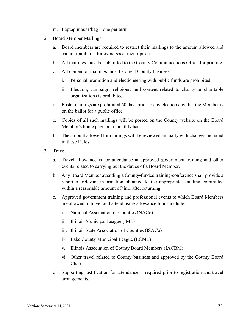- m. Laptop mouse/bag one per term
- 2. Board Member Mailings
	- a. Board members are required to restrict their mailings to the amount allowed and cannot reimburse for overages at their option.
	- b. All mailings must be submitted to the County Communications Office for printing.
	- c. All content of mailings must be direct County business.
		- i. Personal promotion and electioneering with public funds are prohibited.
		- ii. Election, campaign, religious, and content related to charity or charitable organizations is prohibited.
	- d. Postal mailings are prohibited 60 days prior to any election day that the Member is on the ballot for a public office.
	- e. Copies of all such mailings will be posted on the County website on the Board Member's home page on a monthly basis.
	- f. The amount allowed for mailings will be reviewed annually with changes included in these Rules.
- 3. Travel
	- a. Travel allowance is for attendance at approved government training and other events related to carrying out the duties of a Board Member.
	- b. Any Board Member attending a County-funded training/conference shall provide a report of relevant information obtained to the appropriate standing committee within a reasonable amount of time after returning.
	- c. Approved government training and professional events to which Board Members are allowed to travel and attend using allowance funds include:
		- i. National Association of Counties (NACo)
		- ii. Illinois Municipal League (IML)
		- iii. Illinois State Association of Counties (ISACo)
		- iv. Lake County Municipal League (LCML)
		- v. Illinois Association of County Board Members (IACBM)
		- vi. Other travel related to County business and approved by the County Board Chair
	- d. Supporting justification for attendance is required prior to registration and travel arrangements.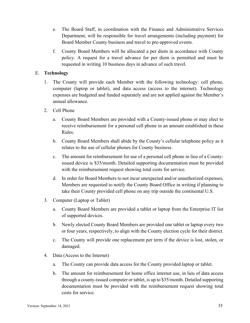- e. The Board Staff, in coordination with the Finance and Administrative Services Department, will be responsible for travel arrangements (including payment) for Board Member County business and travel to pre-approved events.
- f. County Board Members will be allocated a per diem in accordance with County policy. A request for a travel advance for per diem is permitted and must be requested in writing 10 business days in advance of such travel.

#### <span id="page-38-0"></span>E. **Technology**

- 1. The County will provide each Member with the following technology: cell phone, computer (laptop or tablet), and data access (access to the internet). Technology expenses are budgeted and funded separately and are not applied against the Member's annual allowance.
- 2. Cell Phone
	- a. County Board Members are provided with a County-issued phone or may elect to receive reimbursement for a personal cell phone in an amount established in these Rules.
	- b. County Board Members shall abide by the County's cellular telephone policy as it relates to the use of cellular phones for County business.
	- c. The amount for reimbursement for use of a personal cell phone in lieu of a Countyissued device is \$35/month. Detailed supporting documentation must be provided with the reimbursement request showing total costs for service.
	- d. In order for Board Members to not incur unexpected and/or unauthorized expenses, Members are requested to notify the County Board Office in writing if planning to take their County provided cell phone on any trip outside the continental U.S.
- 3. Computer (Laptop or Tablet)
	- a. County Board Members are provided a tablet or laptop from the Enterprise IT list of supported devices.
	- b. Newly elected County Board Members are provided one tablet or laptop every two or four years, respectively, to align with the County election cycle for their district.
	- c. The County will provide one replacement per term if the device is lost, stolen, or damaged.
- 4. Data (Access to the Internet)
	- a. The County can provide data access for the County provided laptop or tablet.
	- b. The amount for reimbursement for home office internet use, in lieu of data access through a county-issued computer or tablet, is up to \$35/month. Detailed supporting documentation must be provided with the reimbursement request showing total costs for service.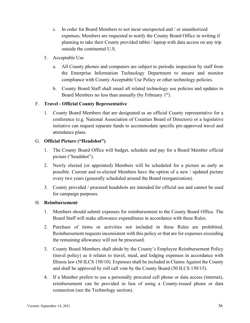- c. In order for Board Members to not incur unexpected and / or unauthorized expenses, Members are requested to notify the County Board Office in writing if planning to take their County provided tablet / laptop with data access on any trip outside the continental U.S.
- 5. Acceptable Use
	- a. All County phones and computers are subject to periodic inspection by staff from the Enterprise Information Technology Department to ensure and monitor compliance with County Acceptable Use Policy or other technology policies.
	- b. County Board Staff shall email all related technology use policies and updates to Board Members no less than annually (by February 1<sup>st</sup>).

#### <span id="page-39-0"></span>F. **Travel - Official County Representative**

1. County Board Members that are designated as an official County representative for a conference (e.g. National Association of Counties Board of Directors) or a legislative initiative can request separate funds to accommodate specific pre-approved travel and attendance plans.

#### <span id="page-39-1"></span>G. **Official Picture ("Headshot")**

- 1. The County Board Office will budget, schedule and pay for a Board Member official picture ("headshot").
- 2. Newly elected (or appointed) Members will be scheduled for a picture as early as possible. Current and re-elected Members have the option of a new / updated picture every two years (generally scheduled around the Board reorganization).
- 3. County provided / procured headshots are intended for official use and cannot be used for campaign purposes.

#### <span id="page-39-2"></span>H. **Reimbursement**

- 1. Members should submit expenses for reimbursement to the County Board Office. The Board Staff will make allowance expenditures in accordance with these Rules.
- 2. Purchase of items or activities not included in these Rules are prohibited. Reimbursement requests inconsistent with this policy or that are for expenses exceeding the remaining allowance will not be processed.
- 3. County Board Members shall abide by the County's Employee Reimbursement Policy (travel policy) as it relates to travel, meal, and lodging expenses in accordance with Illinois law (50 ILCS 150/10). Expenses shall be included in Claims Against the County and shall be approved by roll call vote by the County Board (50 ILCS 150/15).
- 4. If a Member prefers to use a personally procured cell phone or data access (internet), reimbursement can be provided in lieu of using a County-issued phone or data connection (see the Technology section).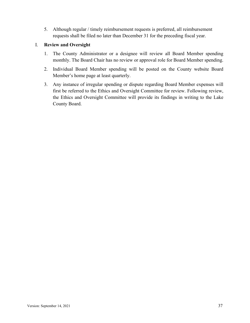5. Although regular / timely reimbursement requests is preferred, all reimbursement requests shall be filed no later than December 31 for the preceding fiscal year.

#### <span id="page-40-0"></span>I. **Review and Oversight**

- 1. The County Administrator or a designee will review all Board Member spending monthly. The Board Chair has no review or approval role for Board Member spending.
- 2. Individual Board Member spending will be posted on the County website Board Member's home page at least quarterly.
- 3. Any instance of irregular spending or dispute regarding Board Member expenses will first be referred to the Ethics and Oversight Committee for review. Following review, the Ethics and Oversight Committee will provide its findings in writing to the Lake County Board.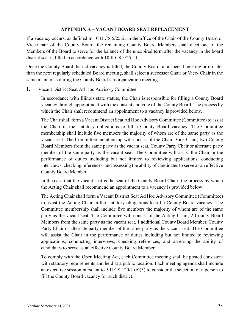#### **APPENDIX A – VACANT BOARD SEAT REPLACEMENT**

<span id="page-41-0"></span>If a vacancy occurs, as defined in 10 ILCS 5/25-2, in the office of the Chair of the County Board or Vice-Chair of the County Board, the remaining County Board Members shall elect one of the Members of the Board to serve for the balance of the unexpired term after the vacancy in the board district seat is filled in accordance with 10 ILCS 5/25-11.

Once the County Board district vacancy is filled, the County Board, at a special meeting or no later than the next regularly scheduled Board meeting, shall select a successor Chair or Vice- Chair in the same manner as during the County Board's reorganization meeting.

#### **I.** Vacant District Seat Ad Hoc Advisory Committee

In accordance with Illinois state statute, the Chair is responsible for filling a County Board vacancy through appointment with the consent and vote of the County Board. The process by which the Chair shall recommend an appointment to a vacancy is provided below.

TheChairshall form a Vacant District Seat Ad Hoc Advisory Committee (Committee) to assist the Chair in the statutory obligations to fill a County Board vacancy. The Committee membership shall include five members the majority of whom are of the same party as the vacant seat. The Committee membership will consist of the Chair, Vice Chair, two County Board Members from the same party as the vacant seat, County Party Chair or alternate party member of the same party as the vacant seat. The Committee will assist the Chair in the performance of duties including but not limited to reviewing applications, conducting interviews, checking references, and assessing the ability of candidates to serve as an effective County Board Member.

In the case that the vacant seat is the seat of the County Board Chair, the process by which the Acting Chair shall recommend an appointment to a vacancy is provided below:

The Acting Chair shall form a Vacant District Seat Ad Hoc Advisory Committee (Committee) to assist the Acting Chair in the statutory obligations to fill a County Board vacancy. The Committee membership shall include five members the majority of whom are of the same party as the vacant seat. The Committee will consist of the Acting Chair, 2 County Board Members from the same party as the vacant seat, 1 additional County Board Member, County Party Chair or alternate party member of the same party as the vacant seat. The Committee will assist the Chair in the performance of duties including but not limited to reviewing applications, conducting interviews, checking references, and assessing the ability of candidates to serve as an effective County Board Member.

To comply with the Open Meeting Act, each Committee meeting shall be posted consistent with statutory requirements and held at a public location. Each meeting agenda shall include an executive session pursuant to 5 ILCS 120/2 (c)(3) to consider the selection of a person to fill the County Board vacancy for such district.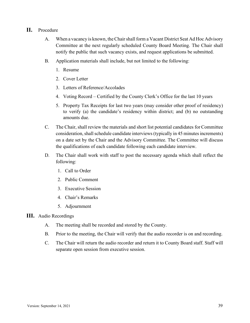#### **II.** Procedure

- A. When a vacancy is known, the Chair shall form a Vacant District Seat Ad Hoc Advisory Committee at the next regularly scheduled County Board Meeting. The Chair shall notify the public that such vacancy exists, and request applications be submitted.
- B. Application materials shall include, but not limited to the following:
	- 1. Resume
	- 2. Cover Letter
	- 3. Letters of Reference/Accolades
	- 4. Voting Record Certified by the County Clerk's Office for the last 10 years
	- 5. Property Tax Receipts for last two years (may consider other proof of residency) to verify (a) the candidate's residency within district; and (b) no outstanding amounts due.
- C. The Chair, shall review the materials and short list potential candidates for Committee consideration, shall schedule candidate interviews (typically in 45 minutes increments) on a date set by the Chair and the Advisory Committee. The Committee will discuss the qualifications of each candidate following each candidate interview.
- D. The Chair shall work with staff to post the necessary agenda which shall reflect the following:
	- 1. Call to Order
	- 2. Public Comment
	- 3. Executive Session
	- 4. Chair's Remarks
	- 5. Adjournment
- **III.** Audio Recordings
	- A. The meeting shall be recorded and stored by the County.
	- B. Prior to the meeting, the Chair will verify that the audio recorder is on and recording.
	- C. The Chair will return the audio recorder and return it to County Board staff. Staff will separate open session from executive session.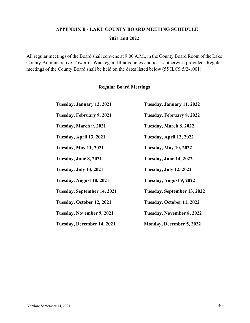# **APPENDIX B - LAKE COUNTY BOARD MEETING SCHEDULE 2021 and 2022**

<span id="page-43-0"></span>All regular meetings of the Board shall convene at 9:00 A.M., in the County Board Room of the Lake County Administrative Tower in Waukegan, Illinois unless notice is otherwise provided. Regular meetings of the County Board shall be held on the dates listed below (55 ILCS 5/2-1001).

#### **Regular Board Meetings**

| Tuesday, January 12, 2021     | Tuesday, January 11, 2022       |
|-------------------------------|---------------------------------|
| Tuesday, February 9, 2021     | Tuesday, February 8, 2022       |
| Tuesday, March 9, 2021        | Tuesday, March 8, 2022          |
| Tuesday, April 13, 2021       | Tuesday, April 12, 2022         |
| <b>Tuesday, May 11, 2021</b>  | <b>Tuesday, May 10, 2022</b>    |
| Tuesday, June 8, 2021         | Tuesday, June 14, 2022          |
| <b>Tuesday, July 13, 2021</b> | <b>Tuesday, July 12, 2022</b>   |
| Tuesday, August 10, 2021      | Tuesday, August 9, 2022         |
| Tuesday, September 14, 2021   | Tuesday, September 13, 2022     |
| Tuesday, October 12, 2021     | Tuesday, October 11, 2022       |
| Tuesday, November 9, 2021     | Tuesday, November 8, 2022       |
| Tuesday, December 14, 2021    | <b>Monday, December 5, 2022</b> |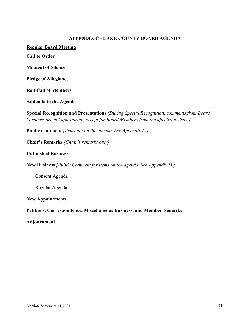#### **APPENDIX C - LAKE COUNTY BOARD AGENDA**

<span id="page-44-0"></span>**Regular Board Meeting**

**Call to Order**

**Moment of Silence**

**Pledge of Allegiance**

**Roll Call of Members**

**Addenda to the Agenda**

**Special Recognition and Presentations** *[During Special Recognition, comments from Board Members are not appropriate except for Board Members from the affected district.]*

**Public Comment** *[Items not on the agenda. See Appendix D.]*

**Chair's Remarks** *[Chair's remarks only]*

#### **Unfinished Business**

**New Business** *[Public Comment for items on the agenda. See Appendix D.]*

Consent Agenda

Regular Agenda

**New Appointments**

**Petitions, Correspondence, Miscellaneous Business, and Member Remarks**

**Adjournment**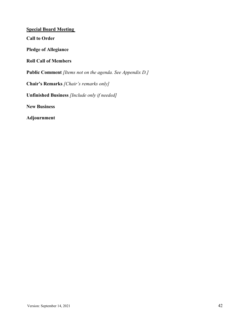<span id="page-45-0"></span>**Special Board Meeting Call to Order Pledge of Allegiance Roll Call of Members Public Comment** *[Items not on the agenda. See Appendix D.]* **Chair's Remarks** *[Chair's remarks only]* **Unfinished Business** *[Include only if needed]* **New Business Adjournment**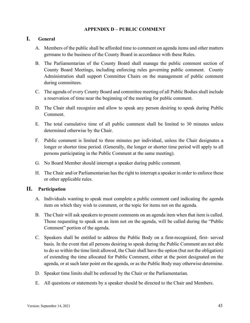#### **APPENDIX D – PUBLIC COMMENT**

#### <span id="page-46-0"></span>**I. General**

- A. Members of the public shall be afforded time to comment on agenda items and other matters germane to the business of the County Board in accordance with these Rules.
- B. The Parliamentarian of the County Board shall manage the public comment section of County Board Meetings, including enforcing rules governing public comment. County Administration shall support Committee Chairs on the management of public comment during committees.
- C. The agenda of every County Board and committee meeting of all Public Bodies shall include a reservation of time near the beginning of the meeting for public comment.
- D. The Chair shall recognize and allow to speak any person desiring to speak during Public Comment.
- E. The total cumulative time of all public comment shall be limited to 30 minutes unless determined otherwise by the Chair.
- F. Public comment is limited to three minutes per individual, unless the Chair designates a longer or shorter time period. (Generally, the longer or shorter time period will apply to all persons participating in the Public Comment at the same meeting).
- G. No Board Member should interrupt a speaker during public comment.
- H. The Chair and/or Parliamentarian has the right to interrupt a speaker in order to enforce these or other applicable rules.

#### **II. Participation**

- A. Individuals wanting to speak must complete a public comment card indicating the agenda item on which they wish to comment, or the topic for items not on the agenda.
- B. The Chair will ask speakers to present comments on an agenda item when that item is called. Those requesting to speak on an item not on the agenda, will be called during the "Public Comment" portion of the agenda.
- C. Speakers shall be entitled to address the Public Body on a first-recognized, first- served basis. In the event that all persons desiring to speak during the Public Comment are not able to do so within the time limit allowed, the Chair shall have the option (but not the obligation) of extending the time allocated for Public Comment, either at the point designated on the agenda, or at such later point on the agenda, or as the Public Body may otherwise determine.
- D. Speaker time limits shall be enforced by the Chair or the Parliamentarian.
- E. All questions or statements by a speaker should be directed to the Chair and Members.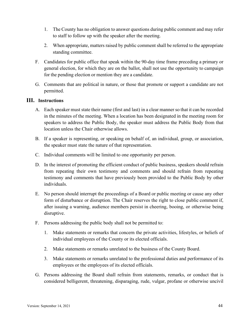- 1. The County has no obligation to answer questions during public comment and may refer to staff to follow up with the speaker after the meeting.
- 2. When appropriate, matters raised by public comment shall be referred to the appropriate standing committee.
- F. Candidates for public office that speak within the 90-day time frame preceding a primary or general election, for which they are on the ballot, shall not use the opportunity to campaign for the pending election or mention they are a candidate.
- G. Comments that are political in nature, or those that promote or support a candidate are not permitted.

#### **III. Instructions**

- A. Each speaker must state their name (first and last) in a clear manner so that it can be recorded in the minutes of the meeting. When a location has been designated in the meeting room for speakers to address the Public Body, the speaker must address the Public Body from that location unless the Chair otherwise allows.
- B. If a speaker is representing, or speaking on behalf of, an individual, group, or association, the speaker must state the nature of that representation.
- C. Individual comments will be limited to one opportunity per person.
- D. In the interest of promoting the efficient conduct of public business, speakers should refrain from repeating their own testimony and comments and should refrain from repeating testimony and comments that have previously been provided to the Public Body by other individuals.
- E. No person should interrupt the proceedings of a Board or public meeting or cause any other form of disturbance or disruption. The Chair reserves the right to close public comment if, after issuing a warning, audience members persist in cheering, booing, or otherwise being disruptive.
- F. Persons addressing the public body shall not be permitted to:
	- 1. Make statements or remarks that concern the private activities, lifestyles, or beliefs of individual employees of the County or its elected officials.
	- 2. Make statements or remarks unrelated to the business of the County Board.
	- 3. Make statements or remarks unrelated to the professional duties and performance of its employees or the employees of its elected officials.
- G. Persons addressing the Board shall refrain from statements, remarks, or conduct that is considered belligerent, threatening, disparaging, rude, vulgar, profane or otherwise uncivil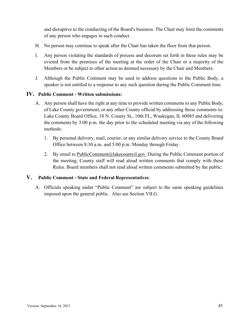and disruptive to the conducting of the Board's business. The Chair may limit the comments of any person who engages in such conduct.

- H. No person may continue to speak after the Chair has taken the floor from that person.
- I. Any person violating the standards of process and decorum set forth in these rules may be evicted from the premises of the meeting at the order of the Chair or a majority of the Members or be subject to other action as deemed necessary by the Chair and Members.
- J. Although the Public Comment may be used to address questions to the Public Body, a speaker is not entitled to a response to any such question during the Public Comment time.

#### **IV. Public Comment - Written submissions:**

- A. Any person shall have the right at any time to provide written comments to any Public Body, of Lake County government, or any other County official by addressing those comments to: Lake County Board Office, 18 N. County St., 10th FL, Waukegan, IL 60085 and delivering the comments by 3:00 p.m. the day prior to the scheduled meeting via any of the following methods:
	- 1. By personal delivery, mail, courier, or any similar delivery service to the County Board Office between 8:30 a.m. and 5:00 p.m. Monday through Friday.
	- 2. By email to [PublicComment@lakecountyil.gov.](mailto:PublicComment@lakecountyil.gov) During the Public Comment portion of the meeting, County staff will read aloud written comments that comply with these Rules. Board members shall not read aloud written comments submitted by the public.

#### **V. Public Comment - State and Federal Representatives**

A. Officials speaking under "Public Comment" are subject to the same speaking guidelines imposed upon the general public. Also see Section VII.G.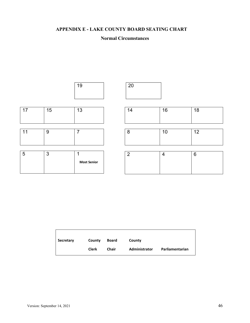# <span id="page-49-0"></span>**APPENDIX E - LAKE COUNTY BOARD SEATING CHART**

#### **Normal Circumstances**



| Secretary | County       | Board | County        |                 |
|-----------|--------------|-------|---------------|-----------------|
|           | <b>Clerk</b> | Chair | Administrator | Parliamentarian |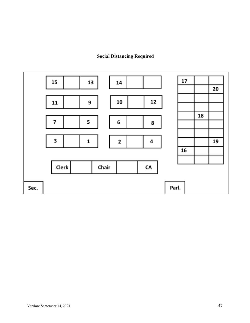# **Social Distancing Required**

<span id="page-50-0"></span>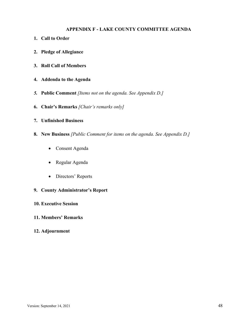#### **APPENDIX F - LAKE COUNTY COMMITTEE AGENDA**

- <span id="page-51-0"></span>**1. Call to Order**
- **2. Pledge of Allegiance**
- **3. Roll Call of Members**
- **4. Addenda to the Agenda**
- *5.* **Public Comment** *[Items not on the agenda. See Appendix D.]*
- **6. Chair's Remarks** *[Chair's remarks only]*
- **7. Unfinished Business**
- **8. New Business** *[Public Comment for items on the agenda. See Appendix D.]*
	- Consent Agenda
	- Regular Agenda
	- Directors' Reports
- **9. County Administrator's Report**
- **10. Executive Session**
- **11. Members' Remarks**
- **12. Adjournment**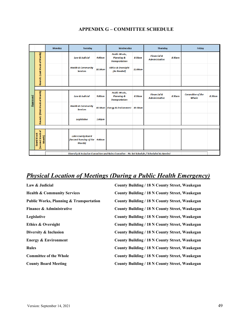<span id="page-52-0"></span>

|          |                                                                                            | <b>Monday</b> | <b>Tuesday</b>                                                       |           | Wednesday                                                              |         | <b>Thursday</b>                                 |        | Friday                           |        |
|----------|--------------------------------------------------------------------------------------------|---------------|----------------------------------------------------------------------|-----------|------------------------------------------------------------------------|---------|-------------------------------------------------|--------|----------------------------------|--------|
|          |                                                                                            |               | <b>Law &amp; Judicial</b>                                            | 9:00am    | <b>Public Works,</b><br><b>Planning &amp;</b><br><b>Transportation</b> | 8:30am  | <b>Financial &amp;</b><br><b>Administrative</b> | 8:30am |                                  |        |
|          | Round 1 (Last Week of Month)                                                               |               | <b>Health &amp; Community</b><br><b>Services</b>                     | 10:30am   | <b>Ethics &amp; Oversight</b><br>(As Needed)                           | 11:00am |                                                 |        |                                  |        |
|          |                                                                                            |               |                                                                      |           |                                                                        |         |                                                 |        |                                  |        |
| Approved | Round 2 (First Week of Month)                                                              |               | <b>Law &amp; Judicial</b>                                            | 9:00am    | <b>Public Works,</b><br><b>Planning &amp;</b><br><b>Transportation</b> | 8:30am  | <b>Financial &amp;</b><br><b>Administrative</b> | 8:30am | <b>Committee of the</b><br>Whole | 8:30am |
|          |                                                                                            |               | <b>Health &amp; Community</b><br><b>Services</b>                     |           | 10:30am Energy & Environment 10:30am                                   |         |                                                 |        |                                  |        |
|          |                                                                                            |               | <b>Legislative</b>                                                   | 1:00pm    |                                                                        |         |                                                 |        |                                  |        |
|          |                                                                                            |               |                                                                      |           |                                                                        |         |                                                 |        |                                  |        |
|          | (Second Week of<br><b>Board Week</b><br>Month)                                             |               | <b>Lake County Board</b><br>(Second Tuesday of the<br><b>Month</b> ) | $9:00$ am |                                                                        |         |                                                 |        |                                  |        |
|          | Diversity & Inclusion Committee and Rules Commitee - No Set Schedule / Scheduled As Needed |               |                                                                      |           |                                                                        |         |                                                 |        |                                  |        |

# **APPENDIX G – COMMITTEE SCHEDULE**

# *Physical Location of Meetings (During a Public Health Emergency)*

| Law & Judicial                                     | <b>County Building / 18 N County Street, Waukegan</b> |
|----------------------------------------------------|-------------------------------------------------------|
| <b>Health &amp; Community Services</b>             | <b>County Building / 18 N County Street, Waukegan</b> |
| <b>Public Works, Planning &amp; Transportation</b> | County Building / 18 N County Street, Waukegan        |
| Finance & Administrative                           | County Building / 18 N County Street, Waukegan        |
| Legislative                                        | <b>County Building / 18 N County Street, Waukegan</b> |
| <b>Ethics &amp; Oversight</b>                      | County Building / 18 N County Street, Waukegan        |
| Diversity & Inclusion                              | <b>County Building / 18 N County Street, Waukegan</b> |
| <b>Energy &amp; Environment</b>                    | County Building / 18 N County Street, Waukegan        |
| <b>Rules</b>                                       | <b>County Building / 18 N County Street, Waukegan</b> |
| <b>Committee of the Whole</b>                      | County Building / 18 N County Street, Waukegan        |
| <b>County Board Meeting</b>                        | County Building / 18 N County Street, Waukegan        |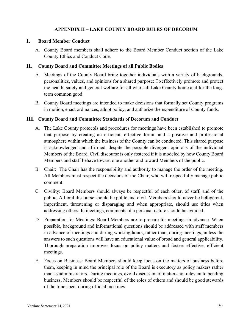#### **APPENDIX H – LAKE COUNTY BOARD RULES OF DECORUM**

#### <span id="page-53-0"></span>**I. Board Member Conduct**

A. County Board members shall adhere to the Board Member Conduct section of the Lake County Ethics and Conduct Code.

#### **II. County Board and Committee Meetings of all Public Bodies**

- A. Meetings of the County Board bring together individuals with a variety of backgrounds, personalities, values, and opinions for a shared purpose: To effectively promote and protect the health, safety and general welfare for all who call Lake County home and for the longterm common good.
- B. County Board meetings are intended to make decisions that formally set County programs in motion, enact ordinances, adopt policy, and authorize the expenditure of County funds.

#### **III. County Board and Committee Standards of Decorum and Conduct**

- A. The Lake County protocols and procedures for meetings have been established to promote that purpose by creating an efficient, effective forum and a positive and professional atmosphere within which the business of the County can be conducted. This shared purpose is acknowledged and affirmed, despite the possible divergent opinions of the individual Members of the Board. Civil discourse is only fostered if it is modeled by how County Board Members and staff behave toward one another and toward Members of the public.
- B. Chair: The Chair has the responsibility and authority to manage the order of the meeting. All Members must respect the decisions of the Chair, who will respectfully manage public comment.
- C. Civility: Board Members should always be respectful of each other, of staff, and of the public. All oral discourse should be polite and civil. Members should never be belligerent, impertinent, threatening or disparaging and when appropriate, should use titles when addressing others. In meetings, comments of a personal nature should be avoided.
- D. Preparation for Meetings: Board Members are to prepare for meetings in advance. When possible, background and informational questions should be addressed with staff members in advance of meetings and during working hours, rather than, during meetings, unless the answers to such questions will have an educational value of broad and general applicability. Thorough preparation improves focus on policy matters and fosters effective, efficient meetings.
- E. Focus on Business: Board Members should keep focus on the matters of business before them, keeping in mind the principal role of the Board is executory as policy makers rather than as administrators. During meetings, avoid discussion of matters not relevant to pending business. Members should be respectful of the roles of others and should be good stewards of the time spent during official meetings.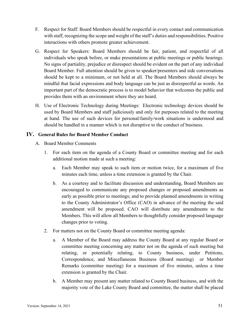- F. Respect for Staff: Board Members should be respectful in every contact and communication with staff, recognizing the scope and weight of the staff's duties and responsibilities. Positive interactions with others promote greater achievement.
- G. Respect for Speakers: Board Members should be fair, patient, and respectful of all individuals who speak before, or make presentations at public meetings or public hearings. No signs of partiality, prejudice or disrespect should be evident on the part of any individual Board Member. Full attention should be given to speaker/presenters and side conversations should be kept to a minimum, or not held at all. The Board Members should always be mindful that facial expressions and body language can be just as disrespectful as words. An important part of the democratic process is to model behavior that welcomes the public and provides them with an environment where they are heard.
- H. Use of Electronic Technology during Meetings: Electronic technology devices should be used by Board Members and staff judiciously and only for purposes related to the meeting at hand. The use of such devices for personal/family/work situations is understood and should be handled in a manner which is not disruptive to the conduct of business.

#### **IV. General Rules for Board Member Conduct**

- A. Board Member Comments
	- 1. For each item on the agenda of a County Board or committee meeting and for each additional motion made at such a meeting:
		- a. Each Member may speak to such item or motion twice, for a maximum of five minutes each time, unless a time extension is granted by the Chair.
		- b. As a courtesy and to facilitate discussion and understanding, Board Members are encouraged to communicate any proposed changes or proposed amendments as early as possible prior to meetings; and to provide planned amendments in writing to the County Administrator's Office (CAO) in advance of the meeting the said amendment will be proposed. CAO will distribute any amendments to the Members. This will allow all Members to thoughtfully consider proposed language changes prior to voting.
	- 2. For matters not on the County Board or committee meeting agenda:
		- a. A Member of the Board may address the County Board at any regular Board or committee meeting concerning any matter not on the agenda of such meeting but relating, or potentially relating, to County business, under Petitions, Correspondence, and Miscellaneous Business (Board meeting) or Member Remarks (committee meeting) for a maximum of five minutes, unless a time extension is granted by the Chair.
		- b. A Member may present any matter related to County Board business, and with the majority vote of the Lake County Board and committee, the matter shall be placed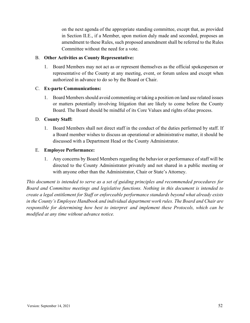on the next agenda of the appropriate standing committee, except that, as provided in Section II.E., if a Member, upon motion duly made and seconded, proposes an amendment to these Rules, such proposed amendment shall be referred to the Rules Committee without the need for a vote.

#### B. **Other Activities as County Representative:**

1. Board Members may not act as or represent themselves as the official spokesperson or representative of the County at any meeting, event, or forum unless and except when authorized in advance to do so by the Board or Chair.

#### C. **Ex-parte Communications:**

1. Board Membersshould avoid commenting or taking a position on land use related issues or matters potentially involving litigation that are likely to come before the County Board. The Board should be mindful of its Core Values and rights of due process.

#### D. **County Staff:**

1. Board Members shall not direct staff in the conduct of the duties performed by staff. If a Board member wishes to discuss an operational or administrative matter, it should be discussed with a Department Head or the County Administrator.

#### E. **Employee Performance:**

1. Any concerns by Board Members regarding the behavior or performance of staff will be directed to the County Administrator privately and not shared in a public meeting or with anyone other than the Administrator, Chair or State's Attorney.

*This document is intended to serve as a set of guiding principles and recommended procedures for Board and Committee meetings and legislative functions. Nothing in this document is intended to create a legal entitlement for Staff or enforceable performance standards beyond what already exists in the County's Employee Handbook and individual department work rules. The Board and Chair are responsible for determining how best to interpret and implement these Protocols, which can be modified at any time without advance notice.*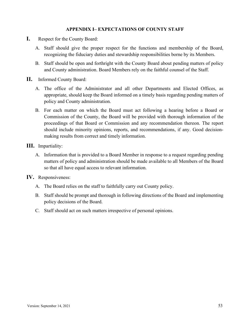#### **APPENDIX I– EXPECTATIONS OF COUNTY STAFF**

- <span id="page-56-0"></span>**I.** Respect for the County Board:
	- A. Staff should give the proper respect for the functions and membership of the Board, recognizing the fiduciary duties and stewardship responsibilities borne by its Members.
	- B. Staff should be open and forthright with the County Board about pending matters of policy and County administration. Board Members rely on the faithful counsel of the Staff.
- **II.** Informed County Board:
	- A. The office of the Administrator and all other Departments and Elected Offices, as appropriate, should keep the Board informed on a timely basis regarding pending matters of policy and County administration.
	- B. For each matter on which the Board must act following a hearing before a Board or Commission of the County, the Board will be provided with thorough information of the proceedings of that Board or Commission and any recommendation thereon. The report should include minority opinions, reports, and recommendations, if any. Good decisionmaking results from correct and timely information.
- **III.** Impartiality:
	- A. Information that is provided to a Board Member in response to a request regarding pending matters of policy and administration should be made available to all Members of the Board so that all have equal access to relevant information.
- **IV.** Responsiveness:
	- A. The Board relies on the staff to faithfully carry out County policy.
	- B. Staff should be prompt and thorough in following directions of the Board and implementing policy decisions of the Board.
	- C. Staff should act on such matters irrespective of personal opinions.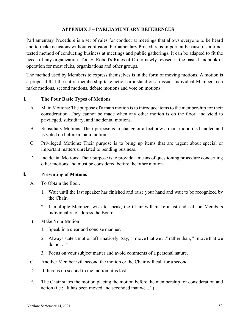#### **APPENDIX J – PARLIAMENTARY REFERENCES**

<span id="page-57-0"></span>Parliamentary Procedure is a set of rules for conduct at meetings that allows everyone to be heard and to make decisions without confusion. Parliamentary Procedure is important because it's a timetested method of conducting business at meetings and public gatherings. It can be adapted to fit the needs of any organization. Today, Robert's Rules of Order newly revised is the basic handbook of operation for most clubs, organizations and other groups.

The method used by Members to express themselves is in the form of moving motions. A motion is a proposal that the entire membership take action or a stand on an issue. Individual Members can make motions, second motions, debate motions and vote on motions:

#### **I. The Four Basic Types of Motions**

- A. Main Motions: The purpose of a main motion is to introduce items to the membership for their consideration. They cannot be made when any other motion is on the floor, and yield to privileged, subsidiary, and incidental motions.
- B. Subsidiary Motions: Their purpose is to change or affect how a main motion is handled and is voted on before a main motion.
- C. Privileged Motions: Their purpose is to bring up items that are urgent about special or important matters unrelated to pending business.
- D. Incidental Motions: Their purpose is to provide a means of questioning procedure concerning other motions and must be considered before the other motion.

#### **II. Presenting of Motions**

- A. To Obtain the floor.
	- 1. Wait until the last speaker has finished and raise your hand and wait to be recognized by the Chair.
	- 2. If multiple Members wish to speak, the Chair will make a list and call on Members individually to address the Board.
- B. Make Your Motion
	- 1. Speak in a clear and concise manner.
	- 2. Always state a motion affirmatively. Say, "I move that we ..." rather than, "I move that we do not ..."
	- 3. Focus on your subject matter and avoid comments of a personal nature.
- C. Another Member will second the motion or the Chair will call for a second.
- D. If there is no second to the motion, it is lost.
- E. The Chair states the motion placing the motion before the membership for consideration and action (i.e.: "It has been moved and seconded that we ...")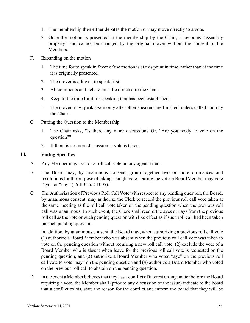- 1. The membership then either debates the motion or may move directly to a vote.
- 2. Once the motion is presented to the membership by the Chair, it becomes "assembly property" and cannot be changed by the original mover without the consent of the Members.
- F. Expanding on the motion
	- 1. The time for to speak in favor of the motion is at this point in time, rather than at the time it is originally presented.
	- 2. The mover is allowed to speak first.
	- 3. All comments and debate must be directed to the Chair.
	- 4. Keep to the time limit for speaking that has been established.
	- 5. The mover may speak again only after other speakers are finished, unless called upon by the Chair.
- G. Putting the Question to the Membership
	- 1. The Chair asks, "Is there any more discussion? Or, "Are you ready to vote on the question?"
	- 2. If there is no more discussion, a vote is taken.

#### **III. Voting Specifics**

- A. Any Member may ask for a roll call vote on any agenda item.
- B. The Board may, by unanimous consent, group together two or more ordinances and resolutions for the purpose of taking a single vote. During the vote, a BoardMember may vote "aye" or "nay" (55 ILC 5/2-1005).
- C. The Authorization of Previous Roll Call Vote with respect to any pending question, the Board, by unanimous consent, may authorize the Clerk to record the previous roll call vote taken at the same meeting as the roll call vote taken on the pending question when the previous roll call was unanimous. In such event, the Clerk shall record the ayes or nays from the previous roll call as the vote on such pending question with like effect as if such roll call had been taken on such pending question.

In addition, by unanimous consent, the Board may, when authorizing a previous roll call vote (1) authorize a Board Member who was absent when the previous roll call vote was taken to vote on the pending question without requiring a new roll call vote, (2) exclude the vote of a Board Member who is absent when leave for the previous roll call vote is requested on the pending question, and (3) authorize a Board Member who voted "aye" on the previous roll call vote to vote "nay" on the pending question and (4) authorize a Board Member who voted on the previous roll call to abstain on the pending question.

D. In the event a Member believes that they has a conflict of interest on any matter before the Board requiring a vote, the Member shall (prior to any discussion of the issue) indicate to the board that a conflict exists, state the reason for the conflict and inform the board that they will be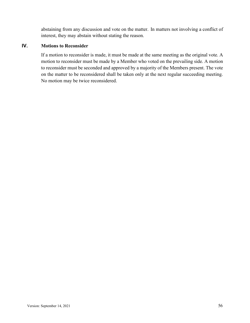abstaining from any discussion and vote on the matter. In matters not involving a conflict of interest, they may abstain without stating the reason.

#### **IV. Motions to Reconsider**

If a motion to reconsider is made, it must be made at the same meeting as the original vote. A motion to reconsider must be made by a Member who voted on the prevailing side. A motion to reconsider must be seconded and approved by a majority of the Members present. The vote on the matter to be reconsidered shall be taken only at the next regular succeeding meeting. No motion may be twice reconsidered.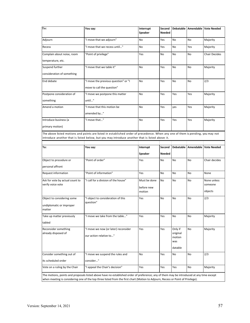| To:                        | You say:                                                                                                                                                                                                                          | Interrupt<br>Speaker | Second<br><b>Needed</b> |           |                | Debatable   Amendable   Vote Needed |
|----------------------------|-----------------------------------------------------------------------------------------------------------------------------------------------------------------------------------------------------------------------------------|----------------------|-------------------------|-----------|----------------|-------------------------------------|
| Adjourn                    | "I move that we adjourn"                                                                                                                                                                                                          |                      | Yes                     | <b>No</b> | N <sub>0</sub> | Majority                            |
| Recess                     | "I move that we recess until"                                                                                                                                                                                                     | No                   | Yes                     | <b>No</b> | Yes            | Majority                            |
| Complain about noise, room | "Point of privilege"                                                                                                                                                                                                              | Yes                  | <b>No</b>               | <b>No</b> | N <sub>o</sub> | <b>Chair Decides</b>                |
| temperature, etc.          |                                                                                                                                                                                                                                   |                      |                         |           |                |                                     |
| Suspend further            | "I move that we table it"                                                                                                                                                                                                         | <b>No</b>            | Yes                     | <b>No</b> | N <sub>0</sub> | Majority                            |
| consideration of something |                                                                                                                                                                                                                                   |                      |                         |           |                |                                     |
| End debate                 | "I move the previous question" or "I                                                                                                                                                                                              | No                   | Yes                     | No        | No             | 2/3                                 |
|                            | move to call the question"                                                                                                                                                                                                        |                      |                         |           |                |                                     |
| Postpone consideration of  | "I move we postpone this matter                                                                                                                                                                                                   | <b>No</b>            | Yes                     | Yes       | Yes            | Majority                            |
| something                  | until"                                                                                                                                                                                                                            |                      |                         |           |                |                                     |
| Amend a motion             | "I move that this motion be                                                                                                                                                                                                       | No                   | Yes                     | ves       | Yes            | Majority                            |
|                            | amended by"                                                                                                                                                                                                                       |                      |                         |           |                |                                     |
| Introduce business (a      | "I move that"                                                                                                                                                                                                                     | No                   | Yes                     | Yes       | Yes            | Majority                            |
| primary motion)            |                                                                                                                                                                                                                                   |                      |                         |           |                |                                     |
|                            | The above listed motions and points are listed in established order of precedence. When any one of them is pending, you may not<br>introduce another that is listed below, but you may introduce another that is listed above it. |                      |                         |           |                |                                     |
|                            |                                                                                                                                                                                                                                   |                      |                         |           |                |                                     |

| To:                                                                                               | You say:                                                        | Interrupt                            |                | <b>Debatable</b>                                |                | Amendable   Vote Needed           |
|---------------------------------------------------------------------------------------------------|-----------------------------------------------------------------|--------------------------------------|----------------|-------------------------------------------------|----------------|-----------------------------------|
|                                                                                                   |                                                                 | Speaker                              | Needed         |                                                 |                |                                   |
| Object to procedure or                                                                            | "Point of order"                                                | Yes                                  | <b>No</b>      | <b>No</b>                                       | No             | Chair decides                     |
| personal affront                                                                                  |                                                                 |                                      |                |                                                 |                |                                   |
| Request information                                                                               | "Point of information"                                          | Yes                                  | N <sub>o</sub> | <b>No</b>                                       | <b>No</b>      | None                              |
| Ask for vote by actual count to<br>verify voice vote                                              | "I call for a division of the house"                            | Must be done<br>before new<br>motion | N <sub>o</sub> | <b>No</b>                                       | <b>No</b>      | None unless<br>someone<br>objects |
| Object to considering some<br>undiplomatic or improper<br>matter                                  | "I object to consideration of this<br>question"                 | Yes                                  | <b>No</b>      | <b>No</b>                                       | N <sub>0</sub> | 2/3                               |
| "I move we take from the table"<br>Take up matter previously<br>tabled                            |                                                                 | Yes                                  | Yes            | N <sub>o</sub>                                  | <b>No</b>      | Majority                          |
| Reconsider something<br>already disposed of                                                       | "I move we now (or later) reconsider<br>our action relative to" | Yes                                  | Yes            | Only if<br>original<br>motion<br>was<br>datable | <b>No</b>      | Majority                          |
| Consider something out of<br>"I move we suspend the rules and<br>its scheduled order<br>consider" |                                                                 | No                                   | Yes            | No                                              | <b>No</b>      | 2/3                               |
| Vote on a ruling by the Chair                                                                     | "I appeal the Chair's decision"                                 | Yes                                  | Yes            | Yes                                             | No             | Majority                          |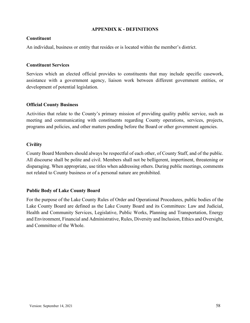#### **APPENDIX K - DEFINITIONS**

#### <span id="page-61-0"></span>**Constituent**

An individual, business or entity that resides or is located within the member's district.

#### **Constituent Services**

Services which an elected official provides to constituents that may include specific casework, assistance with a government agency, liaison work between different government entities, or development of potential legislation.

#### **Official County Business**

Activities that relate to the County's primary mission of providing quality public service, such as meeting and communicating with constituents regarding County operations, services, projects, programs and policies, and other matters pending before the Board or other government agencies.

#### **Civility**

County Board Members should always be respectful of each other, of County Staff, and of the public. All discourse shall be polite and civil. Members shall not be belligerent, impertinent, threatening or disparaging. When appropriate, use titles when addressing others. During public meetings, comments not related to County business or of a personal nature are prohibited.

#### **Public Body of Lake County Board**

For the purpose of the Lake County Rules of Order and Operational Procedures, public bodies of the Lake County Board are defined as the Lake County Board and its Committees: Law and Judicial, Health and Community Services, Legislative, Public Works, Planning and Transportation, Energy and Environment, Financial and Administrative, Rules, Diversity and Inclusion, Ethics and Oversight, and Committee of the Whole.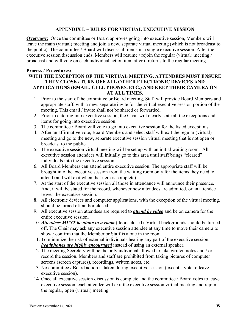#### **APPENDIX L – RULES FOR VIRTUAL EXECUTIVE SESSION**

<span id="page-62-0"></span>**Overview:** Once the committee or Board approves going into executive session, Members will leave the main (virtual) meeting and join a new, separate virtual meeting (which is not broadcast to the public). The committee / Board will discuss all items in a single executive session. After the executive session discussion ends, Members will resume / rejoin the regular (virtual) meeting / broadcast and will vote on each individual action item after it returns to the regular meeting.

#### **Process / Procedures:**

#### **WITH THE EXCEPTION OF THE VIRTUAL MEETING, ATTENDEES MUST ENSURE THEY CLOSE / TURN OFF ALL OTHER ELECTRONIC DEVICES AND APPLICATIONS (EMAIL, CELL PHONES, ETC.) AND KEEP THEIR CAMERA ON AT ALL TIMES.**

- 1. Prior to the start of the committee or Board meeting, Staff will provide Board Members and appropriate staff, with a new, separate invite for the virtual executive session portion of the meeting. This email / invite shall not be shared or forwarded.
- 2. Prior to entering into executive session, the Chair will clearly state all the exceptions and items for going into executive session.
- 3. The committee / Board will vote to go into executive session for the listed exceptions.
- 4. After an affirmative vote, Board Members and select staff will exit the regular (virtual) meeting and go to the new, separate executive session virtual meeting that is not open or broadcast to the public.
- 5. The executive session virtual meeting will be set up with an initial waiting room. All executive session attendees will initially go to this area until staff brings "cleared" individuals into the executive session.
- 6. All Board Members can attend entire executive session. The appropriate staff will be brought into the executive session from the waiting room only for the items they need to attend (and will exit when that item is complete).
- 7. At the start of the executive session all those in attendance will announce their presence. And, it will be stated for the record, whenever new attendees are admitted, or an attendee leaves the executive session.
- 8. All electronic devices and computer applications, with the exception of the virtual meeting, should be turned off and/or closed.
- 9. All executive session attendees are required to *attend by video* and be on camera for the entire executive session.
- 10. *Attendees MUST be alone in a room* (doors closed). Virtual backgrounds should be turned off. The Chair may ask any executive session attendee at any time to move their camera to show / confirm that the Member or Staff is alone in the room.
- 11. To minimize the risk of external individuals hearing any part of the executive session, *headphones are highly encouraged* instead of using an external speaker.
- 12. The meeting Secretary will be the only individual allowed to take written notes and / or record the session. Members and staff are prohibited from taking pictures of computer screens (screen captures), recordings, written notes, etc.
- 13. No committee / Board action is taken during executive session (except a vote to leave executive session).
- 14. Once all executive session discussion is complete and the committee / Board votes to leave executive session, each attendee will exit the executive session virtual meeting and rejoin the regular, open (virtual) meeting.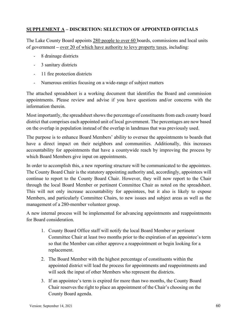#### <span id="page-63-0"></span>**SUPPLEMENT A – DISCRETION: SELECTION OF APPOINTED OFFICIALS**

The Lake County Board appoints 280 people to over 60 boards, commissions and local units of government **–** over 20 of which have authority to levy property taxes, including:

- 8 drainage districts
- 3 sanitary districts
- 11 fire protection districts
- Numerous entities focusing on a wide-range of subject matters

The attached spreadsheet is a working document that identifies the Board and commission appointments. Please review and advise if you have questions and/or concerns with the information therein.

Most importantly, the spreadsheet shows the percentage of constituents from each county board district that comprises each appointed unit of local government. The percentages are now based on the overlap in population instead of the overlap in landmass that was previously used.

The purpose is to enhance Board Members' ability to oversee the appointments to boards that have a direct impact on their neighbors and communities. Additionally, this increases accountability for appointments that have a countywide reach by improving the process by which Board Members give input on appointments.

In order to accomplish this, a new reporting structure will be communicated to the appointees. The County Board Chair is the statutory appointing authority and, accordingly, appointees will continue to report to the County Board Chair. However, they will now report to the Chair through the local Board Member or pertinent Committee Chair as noted on the spreadsheet. This will not only increase accountability for appointees, but it also is likely to expose Members, and particularly Committee Chairs, to new issues and subject areas as well as the management of a 280-member volunteer group.

A new internal process will be implemented for advancing appointments and reappointments for Board consideration.

- 1. County Board Office staff will notify the local Board Member or pertinent Committee Chair at least two months prior to the expiration of an appointee's term so that the Member can either approve a reappointment or begin looking for a replacement.
- 2. The Board Member with the highest percentage of constituents within the appointed district will lead the process for appointments and reappointments and will seek the input of other Members who represent the districts.
- 3. If an appointee's term is expired for more than two months, the County Board Chair reserves the right to place an appointment of the Chair's choosing on the County Board agenda.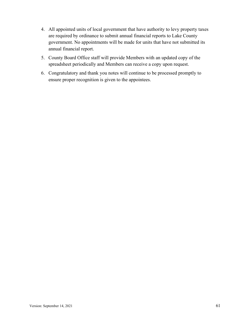- 4. All appointed units of local government that have authority to levy property taxes are required by ordinance to submit annual financial reports to Lake County government. No appointments will be made for units that have not submitted its annual financial report.
- 5. County Board Office staff will provide Members with an updated copy of the spreadsheet periodically and Members can receive a copy upon request.
- 6. Congratulatory and thank you notes will continue to be processed promptly to ensure proper recognition is given to the appointees.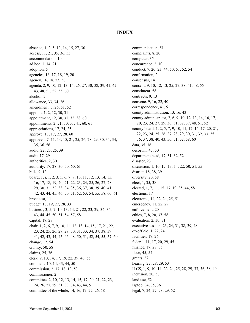#### **INDEX**

<span id="page-65-0"></span>absence, 1, 2, 5, 13, 14, 15, 27, 30 access, 11, 21, 35, 36, 53 accommodation, 10 ad hoc, 1, 14, 21 adoption, 5 agencies, 16, 17, 18, 19, 20 agency, 16, 18, 23, 58 agenda, 2, 9, 10, 12, 13, 14, 26, 27, 30, 38, 39, 41, 42, 43, 48, 51, 52, 55, 60 alcohol, 2 allowance, 33, 34, 36 amendment, 5, 26, 51, 52 appoint, 1, 2, 12, 30, 31 appointment, 12, 30, 31, 32, 38, 60 appointments, 2, 21, 30, 31, 41, 60, 61 appropriations, 17, 24, 25 approve, 13, 17, 27, 28, 60 approved, 7, 11, 14, 15, 21, 25, 26, 28, 29, 30, 31, 34, 35, 36, 56 audio, 22, 23, 25, 39 audit, 17, 29 authorities, 2, 30 authority, 17, 28, 30, 50, 60, 61 bills, 9, 13 board, 1, i, 1, 2, 3, 5, 6, 7, 9, 10, 11, 12, 13, 14, 15, 16, 17, 18, 19, 20, 21, 22, 23, 24, 25, 26, 27, 28, 29, 30, 31, 32, 33, 34, 35, 36, 37, 38, 39, 40, 41, 42, 43, 44, 45, 46, 50, 51, 52, 53, 54, 55, 58, 60, 61 broadcast, 11 budget, 17, 19, 27, 28, 33 business, 3, 5, 7, 10, 13, 14, 21, 22, 23, 29, 34, 35, 43, 44, 45, 50, 51, 54, 57, 58 capital, 17, 28 chair, 1, 2, 6, 7, 9, 10, 11, 12, 13, 14, 15, 17, 21, 22, 23, 24, 25, 26, 27, 29, 30, 31, 33, 34, 37, 38, 39, 41, 42, 43, 44, 45, 46, 48, 50, 51, 52, 54, 55, 57, 60 change, 12, 54 civility, 50, 58 claims, 25, 36 clerk, 9, 10, 14, 17, 19, 22, 39, 46, 55 comment, 10, 14, 43, 44, 50 commission, 2, 17, 18, 19, 53 commissioner, 2 committee, 2, 10, 12, 13, 14, 15, 17, 20, 21, 22, 23, 24, 26, 27, 29, 31, 33, 34, 43, 44, 51 committee of the whole, 14, 16, 17, 22, 26, 58

communication, 51 complaints, 8, 20 computer, 35 concurrence, 2, 10 conduct, 7, 20, 23, 44, 50, 51, 52, 54 confirmation, 2 consensus, 14 consent, 9, 10, 12, 13, 25, 27, 38, 41, 48, 55 constituent, 58 contracts, 9, 13 convene, 9, 16, 22, 40 correspondence, 41, 51 county administration, 13, 16, 43 county administrator, 2, 6, 9, 10, 12, 13, 14, 16, 17, 20, 23, 24, 27, 29, 30, 31, 32, 37, 48, 51, 52 county board, 1, 2, 5, 7, 9, 10, 11, 12, 14, 17, 20, 21, 22, 23, 24, 25, 26, 27, 28, 29, 30, 31, 32, 33, 35, 36, 37, 38, 40, 43, 50, 51, 52, 58, 60 data, 35, 36 decorum, 45, 50 department head, 17, 31, 32, 52 disaster, 23 discussion, 1, 10, 12, 13, 14, 22, 50, 51, 55 district, 18, 38, 39 diversity, 20, 58 elect, 1, 35, 38 elected, 1, 7, 11, 15, 17, 19, 35, 44, 58 elections, 17 electronic, 14, 22, 24, 25, 51 emergency, 11, 22, 29 enforcement, 20 ethics, 7, 8, 20, 37, 58 evaluation, 2, 30, 31 executive session, 23, 24, 31, 38, 39, 48 ex-officio, 1, 22, 24 facilities, 17, 26 federal, 11, 17, 20, 29, 45 finance, 17, 28, 35 floor, 45, 54 grants, 27 hearing, 27, 28, 29, 53 ILCS, 1, 9, 10, 14, 22, 24, 25, 28, 29, 33, 36, 38, 40 inclusion, 20, 58 land use, 52 laptop, 34, 35, 36 legal, 7, 24, 27, 28, 29, 52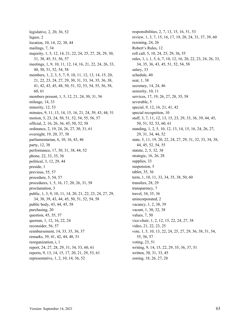legislative, 2, 20, 36, 52 liquor, 2 location, 10, 14, 22, 38, 44 mailings, 7, 34 majority, 1, 5, 12, 14, 21, 22, 24, 25, 27, 28, 29, 30, 31, 38, 45, 51, 56, 57 meetings, 1, 9, 10, 11, 12, 14, 16, 21, 22, 24, 26, 33, 40, 50, 51, 52, 54, 58 members, 1, 2, 3, 5, 7, 9, 10, 11, 12, 13, 14, 15, 20, 21, 22, 23, 24, 27, 29, 30, 31, 33, 34, 35, 36, 38, 41, 42, 43, 45, 48, 50, 51, 52, 53, 54, 55, 56, 58, 60, 61 members present, 1, 5, 12, 21, 24, 30, 31, 56 mileage, 14, 33 minority, 12, 53 minutes, 9, 11, 13, 14, 15, 16, 21, 24, 39, 43, 44, 51 motion, 5, 23, 24, 50, 51, 52, 54, 55, 56, 57 official, 2, 16, 26, 36, 45, 50, 52, 58 ordinance, 2, 19, 24, 26, 27, 30, 31, 61 oversight, 19, 20, 37, 58 parliamentarian, 6, 10, 16, 43, 46 party, 12, 38 performance, 17, 30, 31, 38, 44, 52 phone, 22, 33, 35, 36 political, 3, 12, 29, 44 preside, 1 previous, 55, 57 procedure, 5, 54, 57 procedures, 1, 5, 16, 17, 20, 26, 31, 58 proclamation, 3 public, 1, 3, 9, 10, 11, 14, 20, 21, 22, 23, 24, 27, 29, 34, 38, 39, 43, 44, 45, 50, 51, 52, 54, 58 public body, 43, 44, 45, 58 purchasing, 20 question, 45, 55, 57 quorum, 1, 12, 16, 22, 24 reconsider, 56, 57 reimbursement, 14, 33, 35, 36, 37 remarks, 39, 41, 42, 44, 48, 51 reorganization, i, 1 report, 24, 27, 28, 29, 31, 34, 53, 60, 61 reports, 9, 13, 14, 15, 17, 20, 21, 29, 53, 61 representative, 1, 2, 10, 14, 36, 52

responsibilities, 2, 7, 13, 15, 16, 51, 53 review, 1, 3, 7, 15, 16, 17, 19, 20, 24, 31, 37, 39, 60 rezoning, 24, 26 Robert's Rules, 12 roll call, 5, 10, 24, 25, 29, 36, 55 rules, 1, i, 1, 5, 6, 7, 10, 12, 16, 20, 22, 23, 24, 26, 33, 34, 35, 36, 43, 45, 51, 52, 54, 58 salary, 33 schedule, 40 seat, 1, 38 secretary, 14, 24, 46 seniority, 10, 11 services, 17, 19, 26, 27, 28, 35, 58 severable, 5 special, 9, 12, 16, 21, 41, 42 special recognition, 10 staff, 3, 7, 11, 12, 13, 15, 23, 29, 33, 36, 39, 44, 45, 50, 51, 52, 53, 60, 61 standing, 1, 2, 5, 10, 12, 13, 14, 15, 16, 24, 26, 27, 29, 31, 34, 44, 52 state, 5, 11, 19, 20, 22, 24, 27, 29, 31, 32, 33, 34, 38, 44, 45, 52, 54, 55 statute, 2, 5, 32, 38 strategic, 16, 26, 28 supplies, 33 suspension, 5 tablet, 35, 36 term, 1, 10, 11, 33, 34, 35, 38, 50, 60 transfers, 28, 29 transparency, 7 travel, 34, 35, 36 unincorporated, 2 vacancy, 1, 2, 38, 39 vacant, 1, 30, 32, 38 values, 7, 50 vice-chair, 1, 2, 12, 15, 22, 24, 27, 38 video, 21, 22, 23, 25 vote, 1, 5, 10, 13, 22, 24, 25, 27, 29, 36, 38, 51, 54, 55, 56, 57 voting, 23, 51 writing, 9, 14, 15, 22, 29, 35, 36, 37, 51 written, 30, 31, 33, 45 zoning, 18, 26, 27, 28